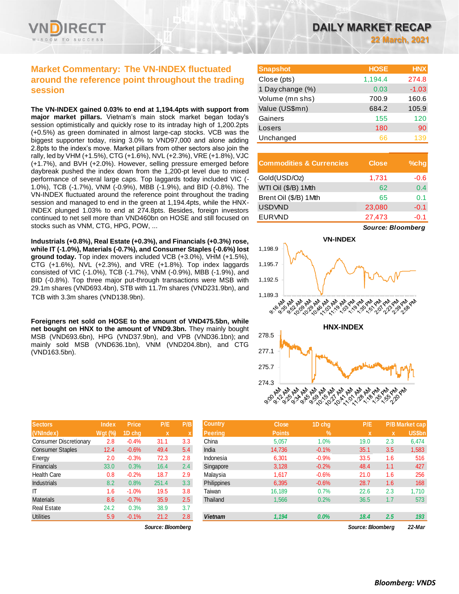# **Market Commentary: The VN-INDEX fluctuated around the reference point throughout the trading session**

**The VN-INDEX gained 0.03% to end at 1,194.4pts with support from major market pillars.** Vietnam's main stock market began today's session optimistically and quickly rose to its intraday high of 1,200.2pts (+0.5%) as green dominated in almost large-cap stocks. VCB was the biggest supporter today, rising 3.0% to VND97,000 and alone adding 2.8pts to the index's move. Market pillars from other sectors also join the rally, led by VHM (+1.5%), CTG (+1.6%), NVL (+2.3%), VRE (+1.8%), VJC (+1.7%), and BVH (+2.0%). However, selling pressure emerged before daybreak pushed the index down from the 1,200-pt level due to mixed performance of several large caps. Top laggards today included VIC (- 1.0%), TCB (-1.7%), VNM (-0.9%), MBB (-1.9%), and BID (-0.8%). The VN-INDEX fluctuated around the reference point throughout the trading session and managed to end in the green at 1,194.4pts, while the HNX-INDEX plunged 1.03% to end at 274.8pts. Besides, foreign investors continued to net sell more than VND460bn on HOSE and still focused on stocks such as VNM, CTG, HPG, POW, ...

**Industrials (+0.8%), Real Estate (+0.3%), and Financials (+0.3%) rose, while IT (-1.0%), Materials (-0.7%), and Consumer Staples (-0.6%) lost ground today.** Top index movers included VCB (+3.0%), VHM (+1.5%), CTG (+1.6%), NVL (+2.3%), and VRE (+1.8%). Top index laggards consisted of VIC (-1.0%), TCB (-1.7%), VNM (-0.9%), MBB (-1.9%), and BID (-0.8%). Top three major put-through transactions were MSB with 29.1m shares (VND693.4bn), STB with 11.7m shares (VND231.9bn), and TCB with 3.3m shares (VND138.9bn).

**Foreigners net sold on HOSE to the amount of VND475.5bn, while net bought on HNX to the amount of VND9.3bn.** They mainly bought MSB (VND693.6bn), HPG (VND37.9bn), and VPB (VND36.1bn); and mainly sold MSB (VND636.1bn), VNM (VND204.8bn), and CTG (VND163.5bn).

| <b>Sectors</b>                | <b>Index</b>   | Price   | P/E   | P/B |
|-------------------------------|----------------|---------|-------|-----|
| (VNIndex)                     | <b>Wgt (%)</b> | 1D chq  | x     | X   |
| <b>Consumer Discretionary</b> | 2.8            | $-0.4%$ | 31.1  | 3.3 |
| <b>Consumer Staples</b>       | 12.4           | $-0.6%$ | 49.4  | 5.4 |
| Energy                        | 2.0            | $-0.3%$ | 72.3  | 2.8 |
| <b>Financials</b>             | 33.0           | 0.3%    | 16.4  | 2.4 |
| <b>Health Care</b>            | 0.8            | $-0.2%$ | 18.7  | 2.9 |
| <b>Industrials</b>            | 8.2            | 0.8%    | 251.4 | 3.3 |
| ıτ                            | 1.6            | $-1.0%$ | 19.5  | 3.8 |
| <b>Materials</b>              | 8.6            | $-0.7%$ | 35.9  | 2.5 |
| <b>Real Estate</b>            | 24.2           | 0.3%    | 38.9  | 3.7 |
| <b>Utilities</b>              | 5.9            | $-0.1%$ | 21.2  | 2.8 |

| <b>Snapshot</b>  | <b>HOSE</b> | <b>HNX</b> |
|------------------|-------------|------------|
| Close (pts)      | 1,194.4     | 274.8      |
| 1 Day change (%) | 0.03        | $-1.03$    |
| Volume (mn shs)  | 700.9       | 160.6      |
| Value (US\$mn)   | 684.2       | 105.9      |
| Gainers          | 155         | 120        |
| Losers           | 180         | 90         |
| Unchanged        | 66          | 139        |

| <b>Commodities &amp; Currencies</b> | <b>Close</b> | $%$ chq |
|-------------------------------------|--------------|---------|
| Gold(USD/Oz)                        | 1,731        | $-0.6$  |
| WTI Oil (\$/B) 1Mth                 | 62           | 0.4     |
| Brent Oil (\$/B) 1Mth               | 65           | 0.1     |
| <b>USDVND</b>                       | 23,080       | $-0.1$  |
| <b>EURVND</b>                       | 27,473       | $-0.1$  |





| <b>Sectors</b>                | Index     | <b>Price</b> | P/E               | P/B          | <b>Country</b> | <b>Close</b>  | 1D chg        | P/E               |     | <b>P/B Market cap</b> |
|-------------------------------|-----------|--------------|-------------------|--------------|----------------|---------------|---------------|-------------------|-----|-----------------------|
| (VNIndex)                     | Wgt $(%)$ | 1D chq       | $\mathbf x$       | $\mathbf{v}$ | <b>Peering</b> | <b>Points</b> | $\frac{9}{6}$ | $\mathbf x$       | x   | <b>US\$bn</b>         |
| <b>Consumer Discretionary</b> | 2.8       | $-0.4%$      | 31.1              | 3.3          | China          | 5,057         | 1.0%          | 19.0              | 2.3 | 6,474                 |
| <b>Consumer Staples</b>       | 12.4      | $-0.6%$      | 49.4              | 5.4          | India          | 14.736        | $-0.1%$       | 35.1              | 3.5 | 1,583                 |
| Energy                        | 2.0       | $-0.3%$      | 72.3              | 2.8          | Indonesia      | 6,301         | $-0.9%$       | 33.5              | 1.6 | 516                   |
| Financials                    | 33.0      | 0.3%         | 16.4              | 2.4          | Singapore      | 3,128         | $-0.2%$       | 48.4              | 1.1 | 427                   |
| Health Care                   | 0.8       | $-0.2%$      | 18.7              | 2.9          | Malaysia       | 1,617         | $-0.6%$       | 21.0              | 1.6 | 256                   |
| <b>Industrials</b>            | 8.2       | 0.8%         | 251.4             | 3.3          | Philippines    | 6,395         | $-0.6%$       | 28.7              | 1.6 | 168                   |
| ΙT                            | 1.6       | $-1.0%$      | 19.5              | 3.8          | Taiwan         | 16.189        | 0.7%          | 22.6              | 2.3 | 1,710                 |
| <b>Materials</b>              | 8.6       | $-0.7%$      | 35.9              | 2.5          | Thailand       | 1,566         | 0.2%          | 36.5              | 1.7 | 573                   |
| Real Estate                   | 24.2      | 0.3%         | 38.9              | 3.7          |                |               |               |                   |     |                       |
| Utilities                     | 5.9       | $-0.1%$      | 21.2              | 2.8          | <b>Vietnam</b> | 1,194         | $0.0\%$       | 18.4              | 2.5 | 193                   |
|                               |           |              | Source: Bloombera |              |                |               |               | Source: Bloombera |     | 22-Mar                |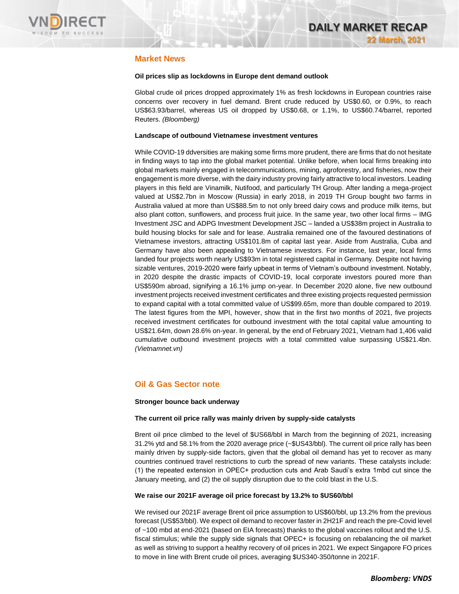

# **Market News**

### **Oil prices slip as lockdowns in Europe dent demand outlook**

Global crude oil prices dropped approximately 1% as fresh lockdowns in European countries raise concerns over recovery in fuel demand. Brent crude reduced by US\$0.60, or 0.9%, to reach US\$63.93/barrel, whereas US oil dropped by US\$0.68, or 1.1%, to US\$60.74/barrel, reported Reuters. *(Bloomberg)*

### **Landscape of outbound Vietnamese investment ventures**

While COVID-19 ddversities are making some firms more prudent, there are firms that do not hesitate in finding ways to tap into the global market potential. Unlike before, when local firms breaking into global markets mainly engaged in telecommunications, mining, agroforestry, and fisheries, now their engagement is more diverse, with the dairy industry proving fairly attractive to local investors. Leading players in this field are Vinamilk, Nutifood, and particularly TH Group. After landing a mega-project valued at US\$2.7bn in Moscow (Russia) in early 2018, in 2019 TH Group bought two farms in Australia valued at more than US\$88.5m to not only breed dairy cows and produce milk items, but also plant cotton, sunflowers, and process fruit juice. In the same year, two other local firms – IMG Investment JSC and ADPG Investment Development JSC – landed a US\$38m project in Australia to build housing blocks for sale and for lease. Australia remained one of the favoured destinations of Vietnamese investors, attracting US\$101.8m of capital last year. Aside from Australia, Cuba and Germany have also been appealing to Vietnamese investors. For instance, last year, local firms landed four projects worth nearly US\$93m in total registered capital in Germany. Despite not having sizable ventures, 2019-2020 were fairly upbeat in terms of Vietnam's outbound investment. Notably, in 2020 despite the drastic impacts of COVID-19, local corporate investors poured more than US\$590m abroad, signifying a 16.1% jump on-year. In December 2020 alone, five new outbound investment projects received investment certificates and three existing projects requested permission to expand capital with a total committed value of US\$99.65m, more than double compared to 2019. The latest figures from the MPI, however, show that in the first two months of 2021, five projects received investment certificates for outbound investment with the total capital value amounting to US\$21.64m, down 28.6% on-year. In general, by the end of February 2021, Vietnam had 1,406 valid cumulative outbound investment projects with a total committed value surpassing US\$21.4bn. *(Vietnamnet.vn)*

# **Oil & Gas Sector note**

### **Stronger bounce back underway**

### **The current oil price rally was mainly driven by supply-side catalysts**

Brent oil price climbed to the level of \$US68/bbl in March from the beginning of 2021, increasing 31.2% ytd and 58.1% from the 2020 average price (~\$US43/bbl). The current oil price rally has been mainly driven by supply-side factors, given that the global oil demand has yet to recover as many countries continued travel restrictions to curb the spread of new variants. These catalysts include: (1) the repeated extension in OPEC+ production cuts and Arab Saudi's extra 1mbd cut since the January meeting, and (2) the oil supply disruption due to the cold blast in the U.S.

### **We raise our 2021F average oil price forecast by 13.2% to \$US60/bbl**

We revised our 2021F average Brent oil price assumption to US\$60/bbl, up 13.2% from the previous forecast (US\$53/bbl). We expect oil demand to recover faster in 2H21F and reach the pre-Covid level of ~100 mbd at end-2021 (based on EIA forecasts) thanks to the global vaccines rollout and the U.S. fiscal stimulus; while the supply side signals that OPEC+ is focusing on rebalancing the oil market as well as striving to support a healthy recovery of oil prices in 2021. We expect Singapore FO prices to move in line with Brent crude oil prices, averaging \$US340-350/tonne in 2021F.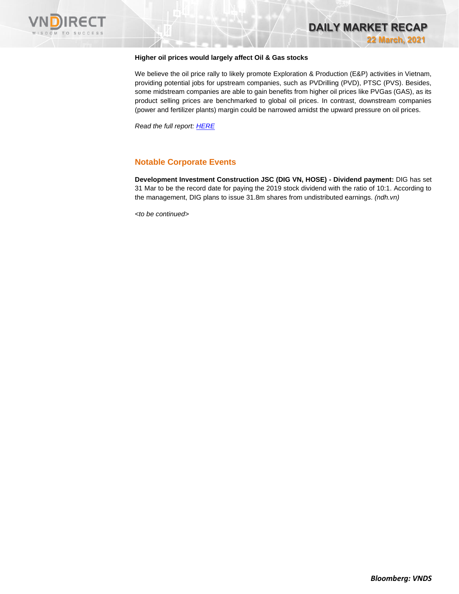



## **Higher oil prices would largely affect Oil & Gas stocks**

We believe the oil price rally to likely promote Exploration & Production (E&P) activities in Vietnam, providing potential jobs for upstream companies, such as PVDrilling (PVD), PTSC (PVS). Besides, some midstream companies are able to gain benefits from higher oil prices like PVGas (GAS), as its product selling prices are benchmarked to global oil prices. In contrast, downstream companies (power and fertilizer plants) margin could be narrowed amidst the upward pressure on oil prices.

*Read the full report[: HERE](https://nhanha-public-api.vndirect.com.vn/click/OGE0ODlmZDA3MDFjZjM0OTAxNzAxZWQ4OTRkZjAwMDk=/MzJiNDNiMjYzNjk1NGUwM2E3YzVjZTExNTdkMjNlZWE=/32b43b2636954e03a7c5ce1157d23eea-O&G_SectorNote_20210319.pdf/cmVzZWFyY2hAdm5kaXJlY3QuY29tLnZu/Mjg1Njk=)*

## **Notable Corporate Events**

**Development Investment Construction JSC (DIG VN, HOSE) - Dividend payment:** DIG has set 31 Mar to be the record date for paying the 2019 stock dividend with the ratio of 10:1. According to the management, DIG plans to issue 31.8m shares from undistributed earnings. *(ndh.vn)*

*<to be continued>*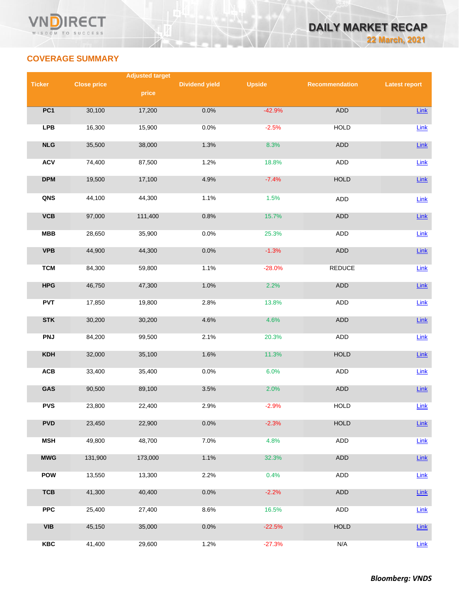

# **COVERAGE SUMMARY**

|               |                    | <b>Adjusted target</b> |                       |               |                |                      |
|---------------|--------------------|------------------------|-----------------------|---------------|----------------|----------------------|
| <b>Ticker</b> | <b>Close price</b> |                        | <b>Dividend yield</b> | <b>Upside</b> | Recommendation | <b>Latest report</b> |
|               |                    | price                  |                       |               |                |                      |
| PC1           | 30,100             | 17,200                 | 0.0%                  | $-42.9%$      | <b>ADD</b>     | Link                 |
|               |                    |                        |                       |               |                |                      |
| <b>LPB</b>    | 16,300             | 15,900                 | 0.0%                  | $-2.5%$       | <b>HOLD</b>    | Link                 |
| NLG           | 35,500             | 38,000                 | 1.3%                  | 8.3%          | ADD            | Link                 |
|               |                    |                        |                       |               |                |                      |
| <b>ACV</b>    | 74,400             | 87,500                 | 1.2%                  | 18.8%         | <b>ADD</b>     | Link                 |
| <b>DPM</b>    | 19,500             | 17,100                 | 4.9%                  | $-7.4%$       | <b>HOLD</b>    | Link                 |
| QNS           | 44,100             | 44,300                 | 1.1%                  | 1.5%          | <b>ADD</b>     | Link                 |
|               |                    |                        |                       |               |                |                      |
| <b>VCB</b>    | 97,000             | 111,400                | 0.8%                  | 15.7%         | <b>ADD</b>     | $Link$               |
| <b>MBB</b>    | 28,650             | 35,900                 | 0.0%                  | 25.3%         | <b>ADD</b>     | Link                 |
|               |                    |                        |                       |               |                |                      |
| <b>VPB</b>    | 44,900             | 44,300                 | 0.0%                  | $-1.3%$       | ADD            | Link                 |
| <b>TCM</b>    | 84,300             | 59,800                 | 1.1%                  | $-28.0%$      | <b>REDUCE</b>  | $Link$               |
|               |                    |                        |                       |               |                |                      |
| <b>HPG</b>    | 46,750             | 47,300                 | 1.0%                  | 2.2%          | <b>ADD</b>     | Link                 |
| <b>PVT</b>    | 17,850             | 19,800                 | 2.8%                  | 13.8%         | ADD            | Link                 |
| <b>STK</b>    | 30,200             | 30,200                 | 4.6%                  | 4.6%          | <b>ADD</b>     | Link                 |
|               |                    |                        |                       |               |                |                      |
| <b>PNJ</b>    | 84,200             | 99,500                 | 2.1%                  | 20.3%         | ADD            | Link                 |
| KDH           | 32,000             | 35,100                 | 1.6%                  | 11.3%         | <b>HOLD</b>    | Link                 |
|               |                    |                        |                       |               |                |                      |
| ACB           | 33,400             | 35,400                 | 0.0%                  | 6.0%          | ADD            | Link                 |
| GAS           | 90,500             | 89,100                 | 3.5%                  | 2.0%          | ADD            | Link                 |
| <b>PVS</b>    | 23,800             | 22,400                 | 2.9%                  | $-2.9%$       | <b>HOLD</b>    | Link                 |
|               |                    |                        |                       |               |                |                      |
| <b>PVD</b>    | 23,450             | 22,900                 | 0.0%                  | $-2.3%$       | <b>HOLD</b>    | <b>Link</b>          |
| <b>MSH</b>    | 49,800             | 48,700                 | 7.0%                  | 4.8%          | <b>ADD</b>     | Link                 |
|               |                    |                        |                       |               |                |                      |
| <b>MWG</b>    | 131,900            | 173,000                | 1.1%                  | 32.3%         | <b>ADD</b>     | <b>Link</b>          |
| <b>POW</b>    | 13,550             | 13,300                 | 2.2%                  | 0.4%          | ADD            | Link                 |
| <b>TCB</b>    | 41,300             | 40,400                 | 0.0%                  | $-2.2%$       | ADD            | Link                 |
|               |                    |                        |                       |               |                |                      |
| <b>PPC</b>    | 25,400             | 27,400                 | 8.6%                  | 16.5%         | <b>ADD</b>     | <b>Link</b>          |
| <b>VIB</b>    | 45,150             | 35,000                 | 0.0%                  | $-22.5%$      | HOLD           | <b>Link</b>          |
|               |                    |                        |                       |               |                |                      |
| <b>KBC</b>    | 41,400             | 29,600                 | 1.2%                  | $-27.3%$      | N/A            | Link                 |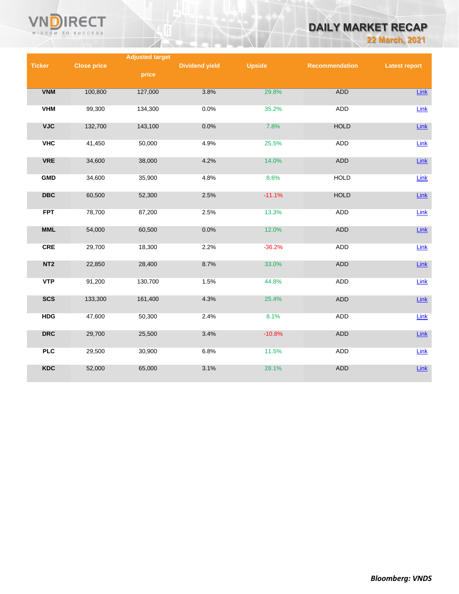

# **DAILY MARKET RECAP**

**22 March, 2021**

|                         |                    | <b>Adjusted target</b> |                       |               |                |                      |
|-------------------------|--------------------|------------------------|-----------------------|---------------|----------------|----------------------|
| <b>Ticker</b>           | <b>Close price</b> |                        | <b>Dividend yield</b> | <b>Upside</b> | Recommendation | <b>Latest report</b> |
|                         |                    | price                  |                       |               |                |                      |
| <b>VNM</b>              | 100,800            | 127,000                | 3.8%                  | 29.8%         | <b>ADD</b>     | Link                 |
|                         |                    |                        |                       |               |                |                      |
| <b>VHM</b>              | 99,300             | 134,300                | 0.0%                  | 35.2%         | <b>ADD</b>     | Link                 |
| <b>VJC</b>              | 132,700            | 143,100                | 0.0%                  | 7.8%          | <b>HOLD</b>    | Link                 |
| <b>VHC</b>              | 41,450             | 50,000                 | 4.9%                  | 25.5%         | ADD            | Link                 |
| <b>VRE</b>              | 34,600             | 38,000                 | 4.2%                  | 14.0%         | ADD            | $Link$               |
| <b>GMD</b>              | 34,600             | 35,900                 | 4.8%                  | 8.6%          | <b>HOLD</b>    | Link                 |
| $\overline{\text{DBC}}$ | 60,500             | 52,300                 | 2.5%                  | $-11.1%$      | <b>HOLD</b>    | Link                 |
| <b>FPT</b>              | 78,700             | 87,200                 | 2.5%                  | 13.3%         | <b>ADD</b>     | Link                 |
| <b>MML</b>              | 54,000             | 60,500                 | 0.0%                  | 12.0%         | <b>ADD</b>     | $Link$               |
| <b>CRE</b>              | 29,700             | 18,300                 | 2.2%                  | $-36.2%$      | <b>ADD</b>     | Link                 |
| NT <sub>2</sub>         | 22,850             | 28,400                 | 8.7%                  | 33.0%         | ADD            | Link                 |
| <b>VTP</b>              | 91,200             | 130,700                | 1.5%                  | 44.8%         | ADD            | Link                 |
| <b>SCS</b>              | 133,300            | 161,400                | 4.3%                  | 25.4%         | <b>ADD</b>     | $Link$               |
| <b>HDG</b>              | 47,600             | 50,300                 | 2.4%                  | 8.1%          | <b>ADD</b>     | Link                 |
| <b>DRC</b>              | 29,700             | 25,500                 | 3.4%                  | $-10.8%$      | ADD            | $Link$               |
| <b>PLC</b>              | 29,500             | 30,900                 | 6.8%                  | 11.5%         | <b>ADD</b>     | Link                 |
| <b>KDC</b>              | 52,000             | 65,000                 | 3.1%                  | 28.1%         | <b>ADD</b>     | $Link$               |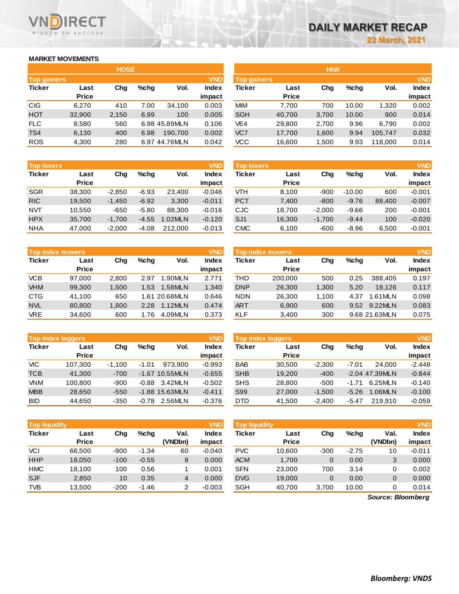# **MARKET MOVEMENTS**

WISDOM TO SUCCESS

**RECT** 

|                                  | <b>HOSE</b>  |       |      |               |              |  |  |  |  |
|----------------------------------|--------------|-------|------|---------------|--------------|--|--|--|--|
| <b>VND</b><br><b>Top gainers</b> |              |       |      |               |              |  |  |  |  |
| <b>Ticker</b>                    | Last         | Cha   | %chq | Vol.          | <b>Index</b> |  |  |  |  |
|                                  | <b>Price</b> |       |      |               | impact       |  |  |  |  |
| <b>CIG</b>                       | 6,270        | 410   | 7.00 | 34,100        | 0.003        |  |  |  |  |
| <b>HOT</b>                       | 32,900       | 2,150 | 6.99 | 100           | 0.005        |  |  |  |  |
| <b>FLC</b>                       | 8,580        | 560   |      | 6.98 45.89MLN | 0.106        |  |  |  |  |
| TS4                              | 6,130        | 400   | 6.98 | 190.700       | 0.002        |  |  |  |  |
| <b>ROS</b>                       | 4,300        | 280   |      | 6.97 44.76MLN | 0.042        |  |  |  |  |

|                    |              | <b>HOSE</b> |         |               |              |                    |              | <b>HNX</b> |         |         |              |
|--------------------|--------------|-------------|---------|---------------|--------------|--------------------|--------------|------------|---------|---------|--------------|
| <b>Top gainers</b> |              |             |         |               | <b>VND</b>   | <b>Top gainers</b> |              |            |         |         | <b>VND</b>   |
| Ticker             | Last         | Chg         | $%$ chq | Vol.          | <b>Index</b> | Ticker             | Last         | Chg        | $%$ chq | Vol.    | <b>Index</b> |
|                    | <b>Price</b> |             |         |               | impact       |                    | <b>Price</b> |            |         |         | impact       |
| CIG                | 6.270        | 410         | 7.00    | 34,100        | 0.003        | <b>MIM</b>         | 7,700        | 700        | 10.00   | 1,320   | 0.002        |
| <b>HOT</b>         | 32,900       | 2,150       | 6.99    | 100           | 0.005        | <b>SGH</b>         | 40,700       | 3,700      | 10.00   | 900     | 0.014        |
| <b>FLC</b>         | 8,580        | 560         |         | 6.98 45.89MLN | 0.106        | VE4                | 29,800       | 2,700      | 9.96    | 6,790   | 0.002        |
| TS4                | 6,130        | 400         | 6.98    | 190.700       | 0.002        | VC7                | 17,700       | 1,600      | 9.94    | 105.747 | 0.032        |
| <b>ROS</b>         | 4,300        | 280         |         | 6.97 44.76MLN | 0.042        | VCC                | 16,600       | 1,500      | 9.93    | 118,000 | 0.014        |

| <b>Top losers</b> |              |          |         |         | <b>VND</b>   |
|-------------------|--------------|----------|---------|---------|--------------|
| <b>Ticker</b>     | Last         | Cha      | %chq    | Vol.    | <b>Index</b> |
|                   | <b>Price</b> |          |         |         | impact       |
| <b>SGR</b>        | 38,300       | $-2,850$ | $-6.93$ | 23,400  | $-0.046$     |
| <b>RIC</b>        | 19,500       | $-1,450$ | $-6.92$ | 3,300   | $-0.011$     |
| NVT               | 10,550       | -650     | $-5.80$ | 88.300  | $-0.016$     |
| <b>HPX</b>        | 35,700       | $-1,700$ | $-4.55$ | 1.02MLN | $-0.120$     |
| <b>NHA</b>        | 47,000       | $-2,000$ | $-4.08$ | 212.000 | $-0.013$     |

| <b>Top index movers</b> | <b>VND</b>   |       |         |               |              |
|-------------------------|--------------|-------|---------|---------------|--------------|
| <b>Ticker</b>           | Last         | Cha   | $%$ chq | Vol.          | <b>Index</b> |
|                         | <b>Price</b> |       |         |               | impact       |
| VCB                     | 97,000       | 2,800 | 2.97    | 1.90MLN       | 2.771        |
| <b>VHM</b>              | 99,300       | 1,500 | 1.53    | 1.58MLN       | 1.340        |
| <b>CTG</b>              | 41,100       | 650   |         | 1.61 20.68MLN | 0.646        |
| <b>NVL</b>              | 80,800       | 1,800 | 2.28    | 1.12MLN       | 0.474        |
| VRE                     | 34,600       | 600   | 1.76    | 4.09MLN       | 0.373        |

| <b>Top index laggers</b> |              |          |         |                  |              |  |  |
|--------------------------|--------------|----------|---------|------------------|--------------|--|--|
| <b>Ticker</b>            | Last         | Cha      | %chq    | Vol.             | <b>Index</b> |  |  |
|                          | <b>Price</b> |          |         |                  | impact       |  |  |
| <b>VIC</b>               | 107,300      | $-1,100$ | $-1.01$ | 973.900          | $-0.993$     |  |  |
| <b>TCB</b>               | 41,300       | $-700$   |         | $-1.67$ 10.55MLN | $-0.655$     |  |  |
| <b>VNM</b>               | 100,800      | -900     | $-0.88$ | 3.42MLN          | $-0.502$     |  |  |
| <b>MBB</b>               | 28,650       | $-550$   |         | $-1.88$ 15.63MLN | $-0.411$     |  |  |
| BID                      | 44,650       | $-350$   | $-0.78$ | 2.56MLN          | $-0.376$     |  |  |

| <b>VND</b><br><b>Top liquidity</b> |                      |        |         |                 |                        |  |  |
|------------------------------------|----------------------|--------|---------|-----------------|------------------------|--|--|
| <b>Ticker</b>                      | Last<br><b>Price</b> | Cha    | %chq    | Val.<br>(VNDbn) | <b>Index</b><br>impact |  |  |
| VCI                                | 66,500               | -900   | $-1.34$ | 60              | $-0.040$               |  |  |
| <b>HHP</b>                         | 18,050               | $-100$ | $-0.55$ | 8               | 0.000                  |  |  |
| <b>HMC</b>                         | 18,100               | 100    | 0.56    | 1               | 0.001                  |  |  |
| <b>SJF</b>                         | 2,850                | 10     | 0.35    | 4               | 0.000                  |  |  |
| <b>TVB</b>                         | 13,500               | $-200$ | $-1.46$ | 2               | $-0.003$               |  |  |

| <b>Top losers</b> |                      |          |         |         | <b>VND</b>             | <b>Top losers</b> |                      |          |          |        | <b>VND</b>             |
|-------------------|----------------------|----------|---------|---------|------------------------|-------------------|----------------------|----------|----------|--------|------------------------|
| Ticker            | Last<br><b>Price</b> | Chg      | $%$ chq | Vol.    | <b>Index</b><br>impact | Ticker            | Last<br><b>Price</b> | Chg      | $%$ chq  | Vol.   | <b>Index</b><br>impact |
| SGR               | 38.300               | $-2.850$ | $-6.93$ | 23.400  | $-0.046$               | VТH               | 8.100                | $-900$   | $-10.00$ | 600    | $-0.001$               |
| <b>RIC</b>        | 19,500               | $-1.450$ | $-6.92$ | 3,300   | $-0.011$               | <b>PCT</b>        | 7,400                | $-800$   | $-9.76$  | 88,400 | $-0.007$               |
| NVT               | 10.550               | $-650$   | $-5.80$ | 88.300  | $-0.016$               | CJC               | 18.700               | $-2.000$ | $-9.66$  | 200    | $-0.001$               |
| <b>HPX</b>        | 35.700               | $-1.700$ | $-4.55$ | 1.02MLN | $-0.120$               | SJ <sub>1</sub>   | 16,300               | $-1,700$ | $-9.44$  | 100    | $-0.020$               |
| NHA               | 47,000               | $-2,000$ | $-4.08$ | 212,000 | $-0.013$               | CMC               | 6,100                | $-600$   | $-8.96$  | 6,500  | $-0.001$               |

| <b>Top index movers</b> |              |       |         |               | <b>VND</b>   |            | <b>Top index movers</b> |       |         |               | <b>VND</b> |
|-------------------------|--------------|-------|---------|---------------|--------------|------------|-------------------------|-------|---------|---------------|------------|
| Ticker                  | Last         | Chg   | $%$ chq | Vol.          | <b>Index</b> | Ticker     | Last                    | Chg   | $%$ chq | Vol.          | Index      |
|                         | <b>Price</b> |       |         |               | impact       |            | <b>Price</b>            |       |         |               | impact     |
| <b>VCB</b>              | 97.000       | 2.800 | 2.97    | .90MLN        | 2.771        | THD        | 200.000                 | 500   | 0.25    | 388.405       | 0.197      |
| <b>VHM</b>              | 99,300       | 1,500 | 1.53    | 1.58MLN       | 1.340        | <b>DNP</b> | 26,300                  | 1,300 | 5.20    | 18.126        | 0.117      |
| CTG                     | 41.100       | 650   |         | 1.61 20.68MLN | 0.646        | <b>NDN</b> | 26.300                  | 1.100 | 4.37    | .61MLN        | 0.098      |
| <b>NVL</b>              | 80,800       | 1,800 | 2.28    | 1.12MLN       | 0.474        | <b>ART</b> | 6,900                   | 600   | 9.52    | 9.22MLN       | 0.083      |
| <b>VRE</b>              | 34,600       | 600   | 1.76    | 4.09MLN       | 0.373        | KLF        | 3,400                   | 300   |         | 9.68 21.63MLN | 0.075      |
|                         |              |       |         |               |              |            |                         |       |         |               |            |

|            | <b>Top index laggers</b> |          |         |                  | <b>VND</b>   | <b>Top index laggers</b> |              |          |         |                  | <b>VND</b> |
|------------|--------------------------|----------|---------|------------------|--------------|--------------------------|--------------|----------|---------|------------------|------------|
| Ticker     | Last                     | Cha      | $%$ chq | Vol.             | <b>Index</b> | Ticker                   | Last         | Chg      | $%$ chq | Vol.             | Index      |
|            | <b>Price</b>             |          |         |                  | impact       |                          | <b>Price</b> |          |         |                  | impact     |
| VIC        | 107.300                  | $-1.100$ | $-1.01$ | 973.900          | $-0.993$     | <b>BAB</b>               | 30.500       | $-2.300$ | $-7.01$ | 24,000           | $-2.448$   |
| TCB        | 41.300                   | $-700$   |         | $-1.67$ 10.55MLN | $-0.655$     | <b>SHB</b>               | 19.200       | $-400$   |         | $-2.04$ 47.39MLN | $-0.844$   |
| <b>VNM</b> | 100.800                  | -900     | -0.88   | 3.42MLN          | $-0.502$     | <b>SHS</b>               | 28,800       | $-500$   | $-1.71$ | 6.25MLN          | $-0.140$   |
| <b>MBB</b> | 28.650                   | $-550$   |         | $-1.88$ 15.63MLN | $-0.411$     | S99                      | 27,000       | $-1.500$ | $-5.26$ | 1.06MLN          | $-0.100$   |
| <b>BID</b> | 44.650                   | -350     | $-0.78$ | 2.56MLN          | $-0.376$     | <b>DTD</b>               | 41.500       | $-2.400$ | $-5.47$ | 219.910          | $-0.059$   |

| <b>Top liquidity</b> |              |        |         |                | <b>VND</b>   | <b>Top liquidity</b> |              |        |         |         | <b>VND</b> |
|----------------------|--------------|--------|---------|----------------|--------------|----------------------|--------------|--------|---------|---------|------------|
| Ticker               | Last         | Chg    | $%$ chq | Val.           | <b>Index</b> | Ticker               | Last         | Chg    | $%$ chq | Val.    | Index      |
|                      | <b>Price</b> |        |         | (VNDbn)        | impact       |                      | <b>Price</b> |        |         | (VNDbn) | impact     |
| VCI                  | 66.500       | $-900$ | $-1.34$ | 60             | $-0.040$     | <b>PVC</b>           | 10,600       | $-300$ | $-2.75$ | 10      | $-0.011$   |
| <b>HHP</b>           | 18,050       | $-100$ | $-0.55$ | 8              | 0.000        | <b>ACM</b>           | 1,700        | 0      | 0.00    | 3       | 0.000      |
| <b>HMC</b>           | 18.100       | 100    | 0.56    |                | 0.001        | <b>SFN</b>           | 23.000       | 700    | 3.14    | 0       | 0.002      |
| <b>SJF</b>           | 2,850        | 10     | 0.35    | $\overline{4}$ | 0.000        | <b>DVG</b>           | 19,000       | 0      | 0.00    | 0       | 0.000      |
| TVB                  | 13,500       | $-200$ | $-1.46$ | 2              | $-0.003$     | <b>SGH</b>           | 40,700       | 3,700  | 10.00   | 0       | 0.014      |
|                      |              |        |         |                |              |                      |              |        |         |         |            |

*Source: Bloomberg*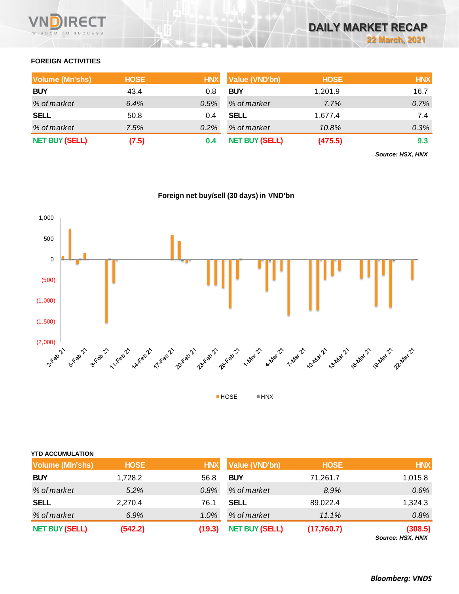

# **FOREIGN ACTIVITIES**

| <b>Volume (Mn'shs)</b> | <b>HOSE</b> | <b>HNX</b> | <b>Value (VND'bn)</b> | <b>HOSE</b> | <b>HNX</b> |
|------------------------|-------------|------------|-----------------------|-------------|------------|
| <b>BUY</b>             | 43.4        | 0.8        | <b>BUY</b>            | 1,201.9     | 16.7       |
| % of market            | 6.4%        | $0.5\%$    | % of market           | 7.7%        | 0.7%       |
| <b>SELL</b>            | 50.8        | 0.4        | SELL                  | 1.677.4     | 7.4        |
| % of market            | 7.5%        | 0.2%       | % of market           | 10.8%       | 0.3%       |
| <b>NET BUY (SELL)</b>  | (7.5)       |            | <b>NET BUY (SELL)</b> | (475.5)     | 9.3        |

*Source: HSX, HNX*



|  |  | Foreign net buy/sell (30 days) in VND'bn |
|--|--|------------------------------------------|
|  |  |                                          |

| <b>YTD ACCUMULATION</b> |             |            |                       |             |                            |
|-------------------------|-------------|------------|-----------------------|-------------|----------------------------|
| <b>Volume (MIn'shs)</b> | <b>HOSE</b> | <b>HNX</b> | <b>Value (VND'bn)</b> | <b>HOSE</b> | <b>HNX</b>                 |
| <b>BUY</b>              | 1,728.2     | 56.8       | <b>BUY</b>            | 71,261.7    | 1,015.8                    |
| % of market             | 5.2%        | 0.8%       | % of market           | 8.9%        | 0.6%                       |
| <b>SELL</b>             | 2,270.4     | 76.1       | <b>SELL</b>           | 89,022.4    | 1,324.3                    |
| % of market             | 6.9%        | 1.0%       | % of market           | 11.1%       | 0.8%                       |
| <b>NET BUY (SELL)</b>   | (542.2)     | (19.3)     | <b>NET BUY (SELL)</b> | (17,760.7)  | (308.5)<br>$0.110M$ $110M$ |

*Source: HSX, HNX*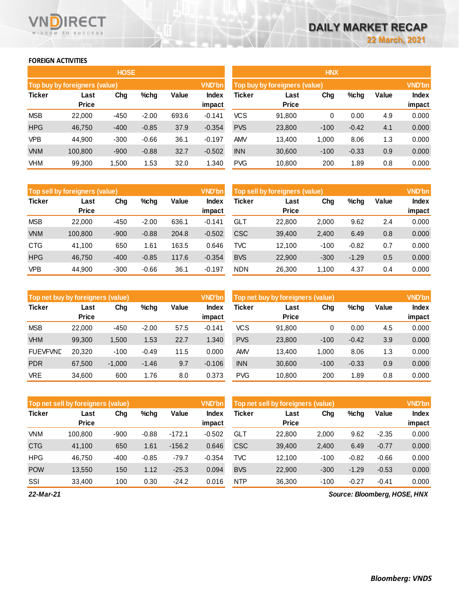# **FOREIGN ACTIVITIES**

WISDOM TO SUCCESS

n

**RECT** 

|            |                               | <b>HOSE</b> |         |       |                 | <b>HNX</b>                    |                      |        |         |       |                        |
|------------|-------------------------------|-------------|---------|-------|-----------------|-------------------------------|----------------------|--------|---------|-------|------------------------|
|            | Top buy by foreigners (value) |             |         |       | <b>VND'bn</b>   | Top buy by foreigners (value) |                      |        |         |       |                        |
| Ticker     | Last<br><b>Price</b>          | Chg         | $%$ chg | Value | Index<br>impact | Ticker                        | Last<br><b>Price</b> | Chg    | %chg    | Value | <b>Index</b><br>impact |
| <b>MSB</b> | 22,000                        | $-450$      | $-2.00$ | 693.6 | $-0.141$        | <b>VCS</b>                    | 91,800               | 0      | 0.00    | 4.9   | 0.000                  |
| <b>HPG</b> | 46,750                        | $-400$      | $-0.85$ | 37.9  | $-0.354$        | <b>PVS</b>                    | 23,800               | $-100$ | $-0.42$ | 4.1   | 0.000                  |
| <b>VPB</b> | 44.900                        | $-300$      | $-0.66$ | 36.1  | $-0.197$        | <b>AMV</b>                    | 13,400               | 1,000  | 8.06    | 1.3   | 0.000                  |
| <b>VNM</b> | 100,800                       | $-900$      | $-0.88$ | 32.7  | $-0.502$        | <b>INN</b>                    | 30,600               | $-100$ | $-0.33$ | 0.9   | 0.000                  |
| <b>VHM</b> | 99,300                        | 1,500       | 1.53    | 32.0  | 1.340           | <b>PVG</b>                    | 10,800               | 200    | 1.89    | 0.8   | 0.000                  |

|               | <b>VND'bn</b><br><b>Top sell by foreigners (value)</b> |        |         |       |                 |            | <b>VND'bn</b><br>Top sell by foreigners (value) |        |         |       |                        |  |
|---------------|--------------------------------------------------------|--------|---------|-------|-----------------|------------|-------------------------------------------------|--------|---------|-------|------------------------|--|
| <b>Ticker</b> | Last<br><b>Price</b>                                   | Chg    | $%$ chg | Value | Index<br>impact | Ticker     | Last<br><b>Price</b>                            | Chg    | %chg    | Value | <b>Index</b><br>impact |  |
| <b>MSB</b>    | 22.000                                                 | $-450$ | $-2.00$ | 636.1 | $-0.141$        | GLT        | 22.800                                          | 2,000  | 9.62    | 2.4   | 0.000                  |  |
| <b>VNM</b>    | 100.800                                                | $-900$ | $-0.88$ | 204.8 | $-0.502$        | <b>CSC</b> | 39.400                                          | 2,400  | 6.49    | 0.8   | 0.000                  |  |
| <b>CTG</b>    | 41.100                                                 | 650    | 1.61    | 163.5 | 0.646           | TVC.       | 12.100                                          | $-100$ | $-0.82$ | 0.7   | 0.000                  |  |
| <b>HPG</b>    | 46.750                                                 | $-400$ | $-0.85$ | 117.6 | $-0.354$        | <b>BVS</b> | 22,900                                          | $-300$ | $-1.29$ | 0.5   | 0.000                  |  |
| <b>VPB</b>    | 44,900                                                 | $-300$ | $-0.66$ | 36.1  | $-0.197$        | <b>NDN</b> | 26,300                                          | 1.100  | 4.37    | 0.4   | 0.000                  |  |

| Top net buy by foreigners (value) |                      |          |         |       | <b>VND'bn</b>   | Top net buy by foreigners (value) |                      |        |         |       | <b>VND'bn</b>          |
|-----------------------------------|----------------------|----------|---------|-------|-----------------|-----------------------------------|----------------------|--------|---------|-------|------------------------|
| <b>Ticker</b>                     | Last<br><b>Price</b> | Chg      | $%$ chg | Value | Index<br>impact | Ticker                            | Last<br><b>Price</b> | Chg    | %chg    | Value | <b>Index</b><br>impact |
| <b>MSB</b>                        | 22,000               | $-450$   | $-2.00$ | 57.5  | $-0.141$        | VCS                               | 91,800               | 0      | 0.00    | 4.5   | 0.000                  |
| <b>VHM</b>                        | 99,300               | 1,500    | 1.53    | 22.7  | 1.340           | <b>PVS</b>                        | 23,800               | $-100$ | $-0.42$ | 3.9   | 0.000                  |
| <b>FUEVFVND</b>                   | 20.320               | $-100$   | $-0.49$ | 11.5  | 0.000           | <b>AMV</b>                        | 13.400               | 1.000  | 8.06    | 1.3   | 0.000                  |
| <b>PDR</b>                        | 67,500               | $-1,000$ | $-1.46$ | 9.7   | $-0.106$        | <b>INN</b>                        | 30,600               | $-100$ | $-0.33$ | 0.9   | 0.000                  |
| <b>VRE</b>                        | 34.600               | 600      | 1.76    | 8.0   | 0.373           | <b>PVG</b>                        | 10.800               | 200    | 1.89    | 0.8   | 0.000                  |

|               | Top net sell by foreigners (value) |        |         |          | <b>VND'bn</b> | Top net sell by foreigners (value) |              |        |         |         | <b>VND'bn</b> |
|---------------|------------------------------------|--------|---------|----------|---------------|------------------------------------|--------------|--------|---------|---------|---------------|
| <b>Ticker</b> | Last                               | Chg    | $%$ chg | Value    | Index         | Ticker                             | Last         | Chg    | %chg    | Value   | <b>Index</b>  |
|               | <b>Price</b>                       |        |         |          | impact        |                                    | <b>Price</b> |        |         |         | impact        |
| <b>VNM</b>    | 100.800                            | $-900$ | $-0.88$ | $-172.1$ | $-0.502$      | <b>GLT</b>                         | 22,800       | 2.000  | 9.62    | $-2.35$ | 0.000         |
| <b>CTG</b>    | 41.100                             | 650    | 1.61    | $-156.2$ | 0.646         | <b>CSC</b>                         | 39,400       | 2,400  | 6.49    | $-0.77$ | 0.000         |
| <b>HPG</b>    | 46.750                             | $-400$ | $-0.85$ | $-79.7$  | $-0.354$      | TVC.                               | 12.100       | $-100$ | $-0.82$ | $-0.66$ | 0.000         |
| <b>POW</b>    | 13,550                             | 150    | 1.12    | $-25.3$  | 0.094         | <b>BVS</b>                         | 22,900       | $-300$ | $-1.29$ | $-0.53$ | 0.000         |
| SSI           | 33.400                             | 100    | 0.30    | $-24.2$  | 0.016         | <b>NTP</b>                         | 36,300       | $-100$ | $-0.27$ | $-0.41$ | 0.000         |
| ----          |                                    |        |         |          |               |                                    |              |        |         |         |               |

*22-Mar-21*

*Source: Bloomberg, HOSE, HNX*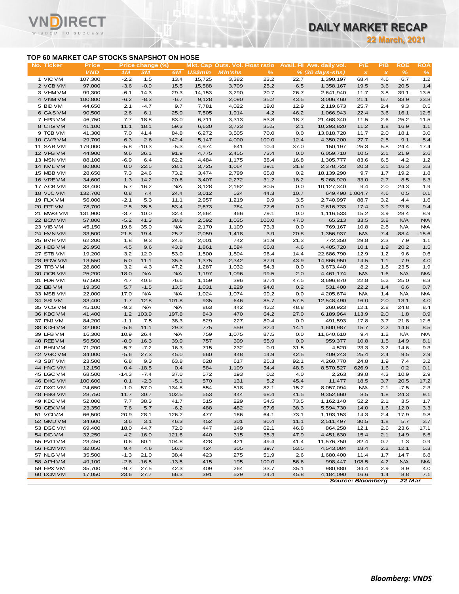# **TOP 60 MARKET CAP STOCKS SNAPSHOT ON HOSE**

**RECT** 

**VN** 

| TOP 60 MARKET CAP STOCKS SNAPSHOT ON HOSE<br><b>ROE</b><br><b>ROA</b><br>No. Ticker<br>Price<br><b>Mkt. Cap Outs. Vol. Float ratio</b><br>Avail. Fil Ave. daily vol.<br>P/E<br>P/B<br>Price change (%)<br>$\%$<br>$\%$<br>$\frac{9}{6}$<br><b>VND</b><br><b>US\$mln</b><br><b>MIn'shs</b><br>1 <sub>M</sub><br><b>3M</b><br>6M<br>$% (30 days-shs)$<br>$\pmb{\times}$<br>$\pmb{\chi}$<br>1 VIC VM<br>107,300<br>$-2.2$<br>1.5<br>13.4<br>15,725<br>3,382<br>23.2<br>22.7<br>4.6<br>6.7<br>1.2<br>1,390,197<br>68.4<br>2 VCB VM<br>97,000<br>$-3.6$<br>$-0.9$<br>15.5<br>15,588<br>3,709<br>25.2<br>6.5<br>20.5<br>1.4<br>1,358,167<br>19.5<br>3.6<br>3 VHM VM<br>99,300<br>$-6.1$<br>14.3<br>29.3<br>3,290<br>20.7<br>26.7<br>13.5<br>14,153<br>2,641,940<br>11.7<br>3.8<br>39.1<br>4 VNM VM<br>100,800<br>$-6.2$<br>$-8.3$<br>$-6.7$<br>9,128<br>2,090<br>35.2<br>43.5<br>3,006,460<br>6.7<br>33.9<br>23.8<br>21.1<br>5 BID VM<br>44,650<br>2.1<br>$-4.7$<br>7,781<br>4,022<br>19.0<br>2.4<br>9.3<br>0.5<br>9.7<br>12.9<br>2,119,673<br>25.7<br>6 GAS VM<br>90,500<br>2.6<br>6.1<br>25.9<br>7,505<br>1,914<br>4.2<br>46.2<br>1,066,943<br>22.4<br>3.6<br>16.1<br>12.5<br>7 HPG VM<br>46,750<br>7.7<br>18.8<br>83.0<br>6,711<br>3,313<br>53.8<br>2.6<br>25.2<br>11.5<br>18.7<br>21,468,340<br>11.5<br>59.3<br>35.5<br>2.1<br>8 CTG VM<br>41,100<br>11.1<br>18.1<br>6,630<br>3,723<br>10,293,820<br>11.2<br>1.8<br>16.9<br>1.1<br>9 TCB VM<br>41,300<br>7.0<br>41.4<br>6,272<br>3,505<br>70.0<br>2.0<br>18.1<br>84.8<br>0.0<br>13,818,720<br>11.7<br>3.0<br>29,700<br>2.6<br>142.4<br>100.0<br>10 GVR VM<br>6.3<br>5,147<br>4,000<br>12.4<br>4,350,200<br>27.7<br>2.5<br>9.1<br>5.4<br>11 SAB VM<br>179,000<br>$-5.8$<br>$-10.3$<br>$-5.3$<br>4,974<br>641<br>10.4<br>37.0<br>150,197<br>24.4<br>17.4<br>25.3<br>5.8<br>12 VPB VM<br>44,900<br>21.9<br>9.6<br>36.1<br>91.9<br>4,775<br>2,455<br>73.4<br>0.0<br>6,059,710<br>10.5<br>2.1<br>2.6<br>13 MSN VM<br>88,100<br>62.2<br>4,484<br>1,175<br>38.4<br>1,305,777<br>4.2<br>$-6.9$<br>6.4<br>16.8<br>83.6<br>6.5<br>1.2<br>14 NVL VM<br>80,800<br>0.0<br>22.5<br>28.1<br>3,725<br>1,064<br>29.1<br>31.8<br>2,378,723<br>20.3<br>3.1<br>16.3<br>3.3<br>15 MBB VM<br>28,650<br>7.3<br>24.6<br>73.2<br>3,474<br>2,799<br>65.8<br>0.2<br>18,139,290<br>9.7<br>19.2<br>1.8<br>1.7<br>16 VRE VM<br>34,600<br>1.3<br>14.2<br>20.6<br>3,407<br>2,272<br>31.2<br>18.2<br>5,268,920<br>33.0<br>2.7<br>8.5<br>6.3<br>17 ACB VM<br>33,400<br>5.7<br>16.2<br><b>N/A</b><br>3,128<br>2,162<br>80.5<br>0.0<br>10,127,340<br>9.4<br>2.0<br>24.3<br>1.9<br>18 VJC VM<br>132,700<br>0.8<br>7.4<br>24.4<br>3,012<br>524<br>44.3<br>10.7<br>649,490 1,004.7<br>4.6<br>0.5<br>0.1<br>19 PLX VM<br>56,000<br>$-2.1$<br>5.3<br>11.1<br>2,957<br>1,219<br>9.9<br>3.5<br>2,740,997<br>3.2<br>4.4<br>1.6<br>88.7<br>20 FPT VM<br>78,700<br>2.5<br>35.5<br>53.4<br>2,673<br>784<br>77.6<br>0.0<br>2,616,733<br>3.9<br>23.8<br>9.4<br>17.4<br>21 MWG VM<br>131,900<br>$-3.7$<br>10.0<br>32.4<br>2,664<br>466<br>79.1<br>0.0<br>3.9<br>28.4<br>8.9<br>1,116,533<br>15.2<br>100.0<br>22 BCM VM<br>57,800<br>$-5.2$<br>41.3<br>38.8<br>2,592<br>1,035<br>47.0<br>65,213<br>3.8<br><b>N/A</b><br><b>N/A</b><br>33.5<br>23 VIB VM<br>45,150<br>19.8<br>35.0<br><b>N/A</b><br>2,170<br>1,109<br>73.3<br>0.0<br>769,167<br>10.8<br>2.8<br><b>N/A</b><br><b>N/A</b><br>24 HVN VM<br>33,500<br>21.8<br>19.4<br>25.7<br>2,059<br>1,418<br>3.9<br>20.8<br>1,356,937<br><b>N/A</b><br>7.4<br>$-88.4$<br>$-15.6$<br>25 BVHVM<br>62,200<br>1.8<br>9.3<br>24.6<br>2,001<br>742<br>31.9<br>21.3<br>772,350<br>2.3<br>7.9<br>1.1<br>29.8<br>26 HDB VM<br>26,950<br>4.5<br>43.9<br>1,594<br>66.8<br>4.6<br>4,405,720<br>20.2<br>1.5<br>9.6<br>1,861<br>10.1<br>1.9<br>27 STB VM<br>19,200<br>3.2<br>12.0<br>53.0<br>1,804<br>96.4<br>14.4<br>1.2<br>0.6<br>1,500<br>22,686,790<br>12.9<br>9.6<br>28 POW VM<br>13,550<br>5.0<br>11.1<br>35.5<br>1,375<br>2,342<br>87.9<br>43.9<br>14,866,950<br>1.1<br>7.9<br>4.0<br>14.5<br>29 TPB VM<br>28,800<br>3.2<br>47.2<br>54.3<br>0.0<br>8.2<br>23.5<br>1.9<br>4.3<br>1,287<br>1,032<br>3,673,440<br>1.8<br>30 OCB VM<br>25,200<br>18.0<br><b>N/A</b><br><b>N/A</b><br>1,197<br>1,096<br>99.5<br>2.0<br>4,461,174<br><b>N/A</b><br><b>N/A</b><br><b>N/A</b><br>1.6<br>31 PDR VM<br>67,500<br>4.7<br>40.6<br>76.6<br>396<br>37.4<br>47.5<br>3,696,870<br>5.2<br>25.0<br>8.3<br>1,159<br>22.8<br>32 EIB VM<br>19,350<br>5.7<br>$-1.5$<br>13.5<br>1,031<br>1,229<br>94.0<br>0.2<br>531,400<br>1.4<br>6.6<br>0.7<br>22.2<br>33 MSB VM<br>22,000<br>17.0<br><b>N/A</b><br><b>N/A</b><br>1,024<br>99.2<br>0.0<br>1.4<br><b>N/A</b><br><b>N/A</b><br>1,074<br>4,205,674<br><b>N/A</b><br>34 SSIVM<br>33,400<br>1.7<br>12.8<br>101.8<br>935<br>646<br>85.7<br>57.5<br>12,548,490<br>2.0<br>13.1<br>4.0<br>16.0<br><b>N/A</b><br><b>N/A</b><br>42.2<br>35 VCG VM<br>45,100<br>$-9.3$<br>863<br>442<br>48.8<br>260,923<br>12.1<br>2.8<br>24.8<br>8.4<br>103.9<br>197.8<br>843<br>36 KBC VM<br>41,400<br>1.2<br>470<br>64.2<br>27.0<br>6,189,964<br>2.0<br>1.8<br>0.9<br>113.9<br>829<br>227<br>12.5<br>37 PNJ VM<br>84,200<br>$-1.1$<br>7.5<br>38.3<br>80.4<br>0.0<br>491,593<br>3.7<br>21.8<br>17.8<br>14.1<br>38 KDH VM<br>32,000<br>$-5.6$<br>11.1<br>29.3<br>775<br>559<br>82.4<br>1,600,987<br>2.2<br>14.6<br>8.5<br>15.7<br>39 LPB VM<br>16,300<br>10.9<br>26.4<br><b>N/A</b><br>759<br>1,075<br>87.5<br>0.0<br>11,640,610<br>9.4<br>1.2<br><b>N/A</b><br><b>N/A</b><br>0.0<br>40 REE VM<br>56,500<br>$-0.9$<br>16.3<br>39.9<br>757<br>309<br>55.9<br>959,377<br>10.8<br>1.5<br>14.9<br>8.1<br>41 BHN VM<br>71,200<br>$-5.7$<br>$-7.2$<br>16.3<br>715<br>232<br>0.9<br>31.5<br>4,520<br>23.3<br>3.2<br>14.6<br>9.3<br>42 VGC VM<br>34,000<br>$-5.6$<br>27.3<br>45.0<br>660<br>448<br>14.9<br>42.5<br>409,243<br>25.4<br>2.4<br>9.5<br>2.9<br>628<br>43 SBT VM<br>23,500<br>6.8<br>9.3<br>63.8<br>617<br>25.3<br>92.1<br>4,260,770<br>24.8<br>1.9<br>7.4<br>3.2<br>0.1<br>44 HNG VM<br>12,150<br>0.4<br>$-18.5$<br>0.4<br>584<br>1,109<br>34.4<br>48.8<br>626.9<br>1.6<br>0.2<br>8,570,527<br>45 LGC VM<br>68,500<br>$-14.3$<br>$-7.4$<br>37.0<br>572<br>193<br>0.2<br>4.0<br>2,263<br>10.9<br>2.9<br>39.8<br>4.3<br>46 DHG VM<br>100,600<br>0.1<br>$-2.3$<br>$-5.1$<br>570<br>131<br>5.2<br>45.4<br>11,477<br>3.7<br>20.5<br>17.2<br>18.5<br>47 DXG VM<br>24,650<br>$-1.0$<br>57.0<br>134.8<br>554<br>518<br>82.1<br>8,057,094<br><b>N/A</b><br>$-7.5$<br>$-2.3$<br>15.2<br>2.1<br>48 HSG VM<br>28,750<br>11.7<br>30.7<br>102.5<br>553<br>444<br>68.4<br>41.5<br>9,352,660<br>8.5<br>1.8<br>24.3<br>9.1<br>49 KDC VM<br>52,000<br>7.7<br>38.3<br>41.7<br>515<br>229<br>54.5<br>1,162,140<br>2.1<br>3.5<br>73.5<br>52.2<br>1.7<br>50 GEX VM<br>23,350<br>7.6<br>5.7<br>$-6.2$<br>488<br>482<br>67.6<br>38.3<br>5,594,730<br>14.0<br>1.6<br>12.0<br>3.3<br>51 VCIVM<br>66,500<br>20.9<br>28.1<br>126.2<br>477<br>166<br>64.1<br>1,193,153<br>2.4<br>17.9<br>73.1<br>14.3<br>9.8<br>52 GMD VM<br>34,600<br>3.6<br>3.1<br>46.3<br>452<br>80.4<br>11.1<br>2,511,497<br>5.7<br>301<br>30.5<br>1.8<br>3.7<br>53 DGC VM<br>18.0<br>72.0<br>447<br>62.1<br>46.8<br>864,250<br>69,400<br>44.7<br>149<br>12.1<br>2.6<br>23.6<br>17.1<br>54 DIG VM<br>32,250<br>4.2<br>16.0<br>121.6<br>440<br>315<br>35.3<br>47.9<br>4,451,630<br>14.9<br>6.5<br>15.4<br>2.1<br>55 PVD VM<br>23,450<br>104.8<br>428<br>49.4<br>11,576,750<br>1.3<br>0.6<br>60.1<br>421<br>41.4<br>82.4<br>0.7<br>0.9<br>56.0<br>424<br>56 HCM VM<br>32,050<br>9.4<br>4.6<br>305<br>39.7<br>53.5<br>4,543,084<br>2.2<br>12.1<br>5.3<br>18.4<br>57 NLG VM<br>35,500<br>$-1.3$<br>38.4<br>423<br>51.9<br>2.6<br>1,680,400<br>14.7<br>21.0<br>275<br>11.4<br>1.7<br>6.8<br>415<br>58 APH VM<br>49,100<br>$-2.6$<br>$-16.5$<br>$-13.5$<br>195<br>100.0<br>56.6<br>998,447<br>4.2<br><b>N/A</b><br>108.5<br><b>N/A</b><br>59 HPX VM<br>35,700<br>$-9.7$<br>27.5<br>42.3<br>409<br>264<br>33.7<br>35.1<br>980,880<br>34.4<br>2.9<br>8.9<br>4.0<br>60 DCM VM<br>17,050<br>23.6<br>27.7<br>391<br>529<br>24.4<br>45.8<br>4,184,090<br>16.6<br>1.4<br>8.8<br>66.3<br>7.1<br><b>Source: Bloomberg</b><br>22 Mar | MISDOM IO SOCCESS |  |  |  |  |  | <b>22 March, 2021</b> |  |
|---------------------------------------------------------------------------------------------------------------------------------------------------------------------------------------------------------------------------------------------------------------------------------------------------------------------------------------------------------------------------------------------------------------------------------------------------------------------------------------------------------------------------------------------------------------------------------------------------------------------------------------------------------------------------------------------------------------------------------------------------------------------------------------------------------------------------------------------------------------------------------------------------------------------------------------------------------------------------------------------------------------------------------------------------------------------------------------------------------------------------------------------------------------------------------------------------------------------------------------------------------------------------------------------------------------------------------------------------------------------------------------------------------------------------------------------------------------------------------------------------------------------------------------------------------------------------------------------------------------------------------------------------------------------------------------------------------------------------------------------------------------------------------------------------------------------------------------------------------------------------------------------------------------------------------------------------------------------------------------------------------------------------------------------------------------------------------------------------------------------------------------------------------------------------------------------------------------------------------------------------------------------------------------------------------------------------------------------------------------------------------------------------------------------------------------------------------------------------------------------------------------------------------------------------------------------------------------------------------------------------------------------------------------------------------------------------------------------------------------------------------------------------------------------------------------------------------------------------------------------------------------------------------------------------------------------------------------------------------------------------------------------------------------------------------------------------------------------------------------------------------------------------------------------------------------------------------------------------------------------------------------------------------------------------------------------------------------------------------------------------------------------------------------------------------------------------------------------------------------------------------------------------------------------------------------------------------------------------------------------------------------------------------------------------------------------------------------------------------------------------------------------------------------------------------------------------------------------------------------------------------------------------------------------------------------------------------------------------------------------------------------------------------------------------------------------------------------------------------------------------------------------------------------------------------------------------------------------------------------------------------------------------------------------------------------------------------------------------------------------------------------------------------------------------------------------------------------------------------------------------------------------------------------------------------------------------------------------------------------------------------------------------------------------------------------------------------------------------------------------------------------------------------------------------------------------------------------------------------------------------------------------------------------------------------------------------------------------------------------------------------------------------------------------------------------------------------------------------------------------------------------------------------------------------------------------------------------------------------------------------------------------------------------------------------------------------------------------------------------------------------------------------------------------------------------------------------------------------------------------------------------------------------------------------------------------------------------------------------------------------------------------------------------------------------------------------------------------------------------------------------------------------------------------------------------------------------------------------------------------------------------------------------------------------------------------------------------------------------------------------------------------------------------------------------------------------------------------------------------------------------------------------------------------------------------------------------------------------------------------------------------------------------------------------------------------------------------------------------------------------------------------------------------------------------------------------------------------------------------------------------------------------------------------------------------------------------------------------------------------------------------------------------------------------------------------------------------------------------------------------------------------------------------------------------------------------------------------------------------------------------------------------------------------------------------------------------------------------------------------------------------------------------------------------------------------------------------------------------------------------------------------------------------------------------------------------------------------------------------------------------------------------------------------------------------------------------------------------------------------------------------------------------------------------------------------------------------------------------------------------------------------------------------------------------------------------------------------------------------------------------------------------------------------------------------------------------------------------------------------------------------------------------------------------------------------------------------------------------------------------------------------------------------------------------------------------------------------------------------------------------------------------------------------------------------------------------------------------------------------------------------------------------------------------------------------------|-------------------|--|--|--|--|--|-----------------------|--|
|                                                                                                                                                                                                                                                                                                                                                                                                                                                                                                                                                                                                                                                                                                                                                                                                                                                                                                                                                                                                                                                                                                                                                                                                                                                                                                                                                                                                                                                                                                                                                                                                                                                                                                                                                                                                                                                                                                                                                                                                                                                                                                                                                                                                                                                                                                                                                                                                                                                                                                                                                                                                                                                                                                                                                                                                                                                                                                                                                                                                                                                                                                                                                                                                                                                                                                                                                                                                                                                                                                                                                                                                                                                                                                                                                                                                                                                                                                                                                                                                                                                                                                                                                                                                                                                                                                                                                                                                                                                                                                                                                                                                                                                                                                                                                                                                                                                                                                                                                                                                                                                                                                                                                                                                                                                                                                                                                                                                                                                                                                                                                                                                                                                                                                                                                                                                                                                                                                                                                                                                                                                                                                                                                                                                                                                                                                                                                                                                                                                                                                                                                                                                                                                                                                                                                                                                                                                                                                                                                                                                                                                                                                                                                                                                                                                                                                                                                                                                                                                                                                                                                                                                                                                                                                                                                                                                                                                                                                                                                                                                                                                                                                                                                                                                   |                   |  |  |  |  |  |                       |  |
|                                                                                                                                                                                                                                                                                                                                                                                                                                                                                                                                                                                                                                                                                                                                                                                                                                                                                                                                                                                                                                                                                                                                                                                                                                                                                                                                                                                                                                                                                                                                                                                                                                                                                                                                                                                                                                                                                                                                                                                                                                                                                                                                                                                                                                                                                                                                                                                                                                                                                                                                                                                                                                                                                                                                                                                                                                                                                                                                                                                                                                                                                                                                                                                                                                                                                                                                                                                                                                                                                                                                                                                                                                                                                                                                                                                                                                                                                                                                                                                                                                                                                                                                                                                                                                                                                                                                                                                                                                                                                                                                                                                                                                                                                                                                                                                                                                                                                                                                                                                                                                                                                                                                                                                                                                                                                                                                                                                                                                                                                                                                                                                                                                                                                                                                                                                                                                                                                                                                                                                                                                                                                                                                                                                                                                                                                                                                                                                                                                                                                                                                                                                                                                                                                                                                                                                                                                                                                                                                                                                                                                                                                                                                                                                                                                                                                                                                                                                                                                                                                                                                                                                                                                                                                                                                                                                                                                                                                                                                                                                                                                                                                                                                                                                                   |                   |  |  |  |  |  |                       |  |
|                                                                                                                                                                                                                                                                                                                                                                                                                                                                                                                                                                                                                                                                                                                                                                                                                                                                                                                                                                                                                                                                                                                                                                                                                                                                                                                                                                                                                                                                                                                                                                                                                                                                                                                                                                                                                                                                                                                                                                                                                                                                                                                                                                                                                                                                                                                                                                                                                                                                                                                                                                                                                                                                                                                                                                                                                                                                                                                                                                                                                                                                                                                                                                                                                                                                                                                                                                                                                                                                                                                                                                                                                                                                                                                                                                                                                                                                                                                                                                                                                                                                                                                                                                                                                                                                                                                                                                                                                                                                                                                                                                                                                                                                                                                                                                                                                                                                                                                                                                                                                                                                                                                                                                                                                                                                                                                                                                                                                                                                                                                                                                                                                                                                                                                                                                                                                                                                                                                                                                                                                                                                                                                                                                                                                                                                                                                                                                                                                                                                                                                                                                                                                                                                                                                                                                                                                                                                                                                                                                                                                                                                                                                                                                                                                                                                                                                                                                                                                                                                                                                                                                                                                                                                                                                                                                                                                                                                                                                                                                                                                                                                                                                                                                                                   |                   |  |  |  |  |  |                       |  |
|                                                                                                                                                                                                                                                                                                                                                                                                                                                                                                                                                                                                                                                                                                                                                                                                                                                                                                                                                                                                                                                                                                                                                                                                                                                                                                                                                                                                                                                                                                                                                                                                                                                                                                                                                                                                                                                                                                                                                                                                                                                                                                                                                                                                                                                                                                                                                                                                                                                                                                                                                                                                                                                                                                                                                                                                                                                                                                                                                                                                                                                                                                                                                                                                                                                                                                                                                                                                                                                                                                                                                                                                                                                                                                                                                                                                                                                                                                                                                                                                                                                                                                                                                                                                                                                                                                                                                                                                                                                                                                                                                                                                                                                                                                                                                                                                                                                                                                                                                                                                                                                                                                                                                                                                                                                                                                                                                                                                                                                                                                                                                                                                                                                                                                                                                                                                                                                                                                                                                                                                                                                                                                                                                                                                                                                                                                                                                                                                                                                                                                                                                                                                                                                                                                                                                                                                                                                                                                                                                                                                                                                                                                                                                                                                                                                                                                                                                                                                                                                                                                                                                                                                                                                                                                                                                                                                                                                                                                                                                                                                                                                                                                                                                                                                   |                   |  |  |  |  |  |                       |  |
|                                                                                                                                                                                                                                                                                                                                                                                                                                                                                                                                                                                                                                                                                                                                                                                                                                                                                                                                                                                                                                                                                                                                                                                                                                                                                                                                                                                                                                                                                                                                                                                                                                                                                                                                                                                                                                                                                                                                                                                                                                                                                                                                                                                                                                                                                                                                                                                                                                                                                                                                                                                                                                                                                                                                                                                                                                                                                                                                                                                                                                                                                                                                                                                                                                                                                                                                                                                                                                                                                                                                                                                                                                                                                                                                                                                                                                                                                                                                                                                                                                                                                                                                                                                                                                                                                                                                                                                                                                                                                                                                                                                                                                                                                                                                                                                                                                                                                                                                                                                                                                                                                                                                                                                                                                                                                                                                                                                                                                                                                                                                                                                                                                                                                                                                                                                                                                                                                                                                                                                                                                                                                                                                                                                                                                                                                                                                                                                                                                                                                                                                                                                                                                                                                                                                                                                                                                                                                                                                                                                                                                                                                                                                                                                                                                                                                                                                                                                                                                                                                                                                                                                                                                                                                                                                                                                                                                                                                                                                                                                                                                                                                                                                                                                                   |                   |  |  |  |  |  |                       |  |
|                                                                                                                                                                                                                                                                                                                                                                                                                                                                                                                                                                                                                                                                                                                                                                                                                                                                                                                                                                                                                                                                                                                                                                                                                                                                                                                                                                                                                                                                                                                                                                                                                                                                                                                                                                                                                                                                                                                                                                                                                                                                                                                                                                                                                                                                                                                                                                                                                                                                                                                                                                                                                                                                                                                                                                                                                                                                                                                                                                                                                                                                                                                                                                                                                                                                                                                                                                                                                                                                                                                                                                                                                                                                                                                                                                                                                                                                                                                                                                                                                                                                                                                                                                                                                                                                                                                                                                                                                                                                                                                                                                                                                                                                                                                                                                                                                                                                                                                                                                                                                                                                                                                                                                                                                                                                                                                                                                                                                                                                                                                                                                                                                                                                                                                                                                                                                                                                                                                                                                                                                                                                                                                                                                                                                                                                                                                                                                                                                                                                                                                                                                                                                                                                                                                                                                                                                                                                                                                                                                                                                                                                                                                                                                                                                                                                                                                                                                                                                                                                                                                                                                                                                                                                                                                                                                                                                                                                                                                                                                                                                                                                                                                                                                                                   |                   |  |  |  |  |  |                       |  |
|                                                                                                                                                                                                                                                                                                                                                                                                                                                                                                                                                                                                                                                                                                                                                                                                                                                                                                                                                                                                                                                                                                                                                                                                                                                                                                                                                                                                                                                                                                                                                                                                                                                                                                                                                                                                                                                                                                                                                                                                                                                                                                                                                                                                                                                                                                                                                                                                                                                                                                                                                                                                                                                                                                                                                                                                                                                                                                                                                                                                                                                                                                                                                                                                                                                                                                                                                                                                                                                                                                                                                                                                                                                                                                                                                                                                                                                                                                                                                                                                                                                                                                                                                                                                                                                                                                                                                                                                                                                                                                                                                                                                                                                                                                                                                                                                                                                                                                                                                                                                                                                                                                                                                                                                                                                                                                                                                                                                                                                                                                                                                                                                                                                                                                                                                                                                                                                                                                                                                                                                                                                                                                                                                                                                                                                                                                                                                                                                                                                                                                                                                                                                                                                                                                                                                                                                                                                                                                                                                                                                                                                                                                                                                                                                                                                                                                                                                                                                                                                                                                                                                                                                                                                                                                                                                                                                                                                                                                                                                                                                                                                                                                                                                                                                   |                   |  |  |  |  |  |                       |  |
|                                                                                                                                                                                                                                                                                                                                                                                                                                                                                                                                                                                                                                                                                                                                                                                                                                                                                                                                                                                                                                                                                                                                                                                                                                                                                                                                                                                                                                                                                                                                                                                                                                                                                                                                                                                                                                                                                                                                                                                                                                                                                                                                                                                                                                                                                                                                                                                                                                                                                                                                                                                                                                                                                                                                                                                                                                                                                                                                                                                                                                                                                                                                                                                                                                                                                                                                                                                                                                                                                                                                                                                                                                                                                                                                                                                                                                                                                                                                                                                                                                                                                                                                                                                                                                                                                                                                                                                                                                                                                                                                                                                                                                                                                                                                                                                                                                                                                                                                                                                                                                                                                                                                                                                                                                                                                                                                                                                                                                                                                                                                                                                                                                                                                                                                                                                                                                                                                                                                                                                                                                                                                                                                                                                                                                                                                                                                                                                                                                                                                                                                                                                                                                                                                                                                                                                                                                                                                                                                                                                                                                                                                                                                                                                                                                                                                                                                                                                                                                                                                                                                                                                                                                                                                                                                                                                                                                                                                                                                                                                                                                                                                                                                                                                                   |                   |  |  |  |  |  |                       |  |
|                                                                                                                                                                                                                                                                                                                                                                                                                                                                                                                                                                                                                                                                                                                                                                                                                                                                                                                                                                                                                                                                                                                                                                                                                                                                                                                                                                                                                                                                                                                                                                                                                                                                                                                                                                                                                                                                                                                                                                                                                                                                                                                                                                                                                                                                                                                                                                                                                                                                                                                                                                                                                                                                                                                                                                                                                                                                                                                                                                                                                                                                                                                                                                                                                                                                                                                                                                                                                                                                                                                                                                                                                                                                                                                                                                                                                                                                                                                                                                                                                                                                                                                                                                                                                                                                                                                                                                                                                                                                                                                                                                                                                                                                                                                                                                                                                                                                                                                                                                                                                                                                                                                                                                                                                                                                                                                                                                                                                                                                                                                                                                                                                                                                                                                                                                                                                                                                                                                                                                                                                                                                                                                                                                                                                                                                                                                                                                                                                                                                                                                                                                                                                                                                                                                                                                                                                                                                                                                                                                                                                                                                                                                                                                                                                                                                                                                                                                                                                                                                                                                                                                                                                                                                                                                                                                                                                                                                                                                                                                                                                                                                                                                                                                                                   |                   |  |  |  |  |  |                       |  |
|                                                                                                                                                                                                                                                                                                                                                                                                                                                                                                                                                                                                                                                                                                                                                                                                                                                                                                                                                                                                                                                                                                                                                                                                                                                                                                                                                                                                                                                                                                                                                                                                                                                                                                                                                                                                                                                                                                                                                                                                                                                                                                                                                                                                                                                                                                                                                                                                                                                                                                                                                                                                                                                                                                                                                                                                                                                                                                                                                                                                                                                                                                                                                                                                                                                                                                                                                                                                                                                                                                                                                                                                                                                                                                                                                                                                                                                                                                                                                                                                                                                                                                                                                                                                                                                                                                                                                                                                                                                                                                                                                                                                                                                                                                                                                                                                                                                                                                                                                                                                                                                                                                                                                                                                                                                                                                                                                                                                                                                                                                                                                                                                                                                                                                                                                                                                                                                                                                                                                                                                                                                                                                                                                                                                                                                                                                                                                                                                                                                                                                                                                                                                                                                                                                                                                                                                                                                                                                                                                                                                                                                                                                                                                                                                                                                                                                                                                                                                                                                                                                                                                                                                                                                                                                                                                                                                                                                                                                                                                                                                                                                                                                                                                                                                   |                   |  |  |  |  |  |                       |  |
|                                                                                                                                                                                                                                                                                                                                                                                                                                                                                                                                                                                                                                                                                                                                                                                                                                                                                                                                                                                                                                                                                                                                                                                                                                                                                                                                                                                                                                                                                                                                                                                                                                                                                                                                                                                                                                                                                                                                                                                                                                                                                                                                                                                                                                                                                                                                                                                                                                                                                                                                                                                                                                                                                                                                                                                                                                                                                                                                                                                                                                                                                                                                                                                                                                                                                                                                                                                                                                                                                                                                                                                                                                                                                                                                                                                                                                                                                                                                                                                                                                                                                                                                                                                                                                                                                                                                                                                                                                                                                                                                                                                                                                                                                                                                                                                                                                                                                                                                                                                                                                                                                                                                                                                                                                                                                                                                                                                                                                                                                                                                                                                                                                                                                                                                                                                                                                                                                                                                                                                                                                                                                                                                                                                                                                                                                                                                                                                                                                                                                                                                                                                                                                                                                                                                                                                                                                                                                                                                                                                                                                                                                                                                                                                                                                                                                                                                                                                                                                                                                                                                                                                                                                                                                                                                                                                                                                                                                                                                                                                                                                                                                                                                                                                                   |                   |  |  |  |  |  |                       |  |
|                                                                                                                                                                                                                                                                                                                                                                                                                                                                                                                                                                                                                                                                                                                                                                                                                                                                                                                                                                                                                                                                                                                                                                                                                                                                                                                                                                                                                                                                                                                                                                                                                                                                                                                                                                                                                                                                                                                                                                                                                                                                                                                                                                                                                                                                                                                                                                                                                                                                                                                                                                                                                                                                                                                                                                                                                                                                                                                                                                                                                                                                                                                                                                                                                                                                                                                                                                                                                                                                                                                                                                                                                                                                                                                                                                                                                                                                                                                                                                                                                                                                                                                                                                                                                                                                                                                                                                                                                                                                                                                                                                                                                                                                                                                                                                                                                                                                                                                                                                                                                                                                                                                                                                                                                                                                                                                                                                                                                                                                                                                                                                                                                                                                                                                                                                                                                                                                                                                                                                                                                                                                                                                                                                                                                                                                                                                                                                                                                                                                                                                                                                                                                                                                                                                                                                                                                                                                                                                                                                                                                                                                                                                                                                                                                                                                                                                                                                                                                                                                                                                                                                                                                                                                                                                                                                                                                                                                                                                                                                                                                                                                                                                                                                                                   |                   |  |  |  |  |  |                       |  |
|                                                                                                                                                                                                                                                                                                                                                                                                                                                                                                                                                                                                                                                                                                                                                                                                                                                                                                                                                                                                                                                                                                                                                                                                                                                                                                                                                                                                                                                                                                                                                                                                                                                                                                                                                                                                                                                                                                                                                                                                                                                                                                                                                                                                                                                                                                                                                                                                                                                                                                                                                                                                                                                                                                                                                                                                                                                                                                                                                                                                                                                                                                                                                                                                                                                                                                                                                                                                                                                                                                                                                                                                                                                                                                                                                                                                                                                                                                                                                                                                                                                                                                                                                                                                                                                                                                                                                                                                                                                                                                                                                                                                                                                                                                                                                                                                                                                                                                                                                                                                                                                                                                                                                                                                                                                                                                                                                                                                                                                                                                                                                                                                                                                                                                                                                                                                                                                                                                                                                                                                                                                                                                                                                                                                                                                                                                                                                                                                                                                                                                                                                                                                                                                                                                                                                                                                                                                                                                                                                                                                                                                                                                                                                                                                                                                                                                                                                                                                                                                                                                                                                                                                                                                                                                                                                                                                                                                                                                                                                                                                                                                                                                                                                                                                   |                   |  |  |  |  |  |                       |  |
|                                                                                                                                                                                                                                                                                                                                                                                                                                                                                                                                                                                                                                                                                                                                                                                                                                                                                                                                                                                                                                                                                                                                                                                                                                                                                                                                                                                                                                                                                                                                                                                                                                                                                                                                                                                                                                                                                                                                                                                                                                                                                                                                                                                                                                                                                                                                                                                                                                                                                                                                                                                                                                                                                                                                                                                                                                                                                                                                                                                                                                                                                                                                                                                                                                                                                                                                                                                                                                                                                                                                                                                                                                                                                                                                                                                                                                                                                                                                                                                                                                                                                                                                                                                                                                                                                                                                                                                                                                                                                                                                                                                                                                                                                                                                                                                                                                                                                                                                                                                                                                                                                                                                                                                                                                                                                                                                                                                                                                                                                                                                                                                                                                                                                                                                                                                                                                                                                                                                                                                                                                                                                                                                                                                                                                                                                                                                                                                                                                                                                                                                                                                                                                                                                                                                                                                                                                                                                                                                                                                                                                                                                                                                                                                                                                                                                                                                                                                                                                                                                                                                                                                                                                                                                                                                                                                                                                                                                                                                                                                                                                                                                                                                                                                                   |                   |  |  |  |  |  |                       |  |
|                                                                                                                                                                                                                                                                                                                                                                                                                                                                                                                                                                                                                                                                                                                                                                                                                                                                                                                                                                                                                                                                                                                                                                                                                                                                                                                                                                                                                                                                                                                                                                                                                                                                                                                                                                                                                                                                                                                                                                                                                                                                                                                                                                                                                                                                                                                                                                                                                                                                                                                                                                                                                                                                                                                                                                                                                                                                                                                                                                                                                                                                                                                                                                                                                                                                                                                                                                                                                                                                                                                                                                                                                                                                                                                                                                                                                                                                                                                                                                                                                                                                                                                                                                                                                                                                                                                                                                                                                                                                                                                                                                                                                                                                                                                                                                                                                                                                                                                                                                                                                                                                                                                                                                                                                                                                                                                                                                                                                                                                                                                                                                                                                                                                                                                                                                                                                                                                                                                                                                                                                                                                                                                                                                                                                                                                                                                                                                                                                                                                                                                                                                                                                                                                                                                                                                                                                                                                                                                                                                                                                                                                                                                                                                                                                                                                                                                                                                                                                                                                                                                                                                                                                                                                                                                                                                                                                                                                                                                                                                                                                                                                                                                                                                                                   |                   |  |  |  |  |  |                       |  |
|                                                                                                                                                                                                                                                                                                                                                                                                                                                                                                                                                                                                                                                                                                                                                                                                                                                                                                                                                                                                                                                                                                                                                                                                                                                                                                                                                                                                                                                                                                                                                                                                                                                                                                                                                                                                                                                                                                                                                                                                                                                                                                                                                                                                                                                                                                                                                                                                                                                                                                                                                                                                                                                                                                                                                                                                                                                                                                                                                                                                                                                                                                                                                                                                                                                                                                                                                                                                                                                                                                                                                                                                                                                                                                                                                                                                                                                                                                                                                                                                                                                                                                                                                                                                                                                                                                                                                                                                                                                                                                                                                                                                                                                                                                                                                                                                                                                                                                                                                                                                                                                                                                                                                                                                                                                                                                                                                                                                                                                                                                                                                                                                                                                                                                                                                                                                                                                                                                                                                                                                                                                                                                                                                                                                                                                                                                                                                                                                                                                                                                                                                                                                                                                                                                                                                                                                                                                                                                                                                                                                                                                                                                                                                                                                                                                                                                                                                                                                                                                                                                                                                                                                                                                                                                                                                                                                                                                                                                                                                                                                                                                                                                                                                                                                   |                   |  |  |  |  |  |                       |  |
|                                                                                                                                                                                                                                                                                                                                                                                                                                                                                                                                                                                                                                                                                                                                                                                                                                                                                                                                                                                                                                                                                                                                                                                                                                                                                                                                                                                                                                                                                                                                                                                                                                                                                                                                                                                                                                                                                                                                                                                                                                                                                                                                                                                                                                                                                                                                                                                                                                                                                                                                                                                                                                                                                                                                                                                                                                                                                                                                                                                                                                                                                                                                                                                                                                                                                                                                                                                                                                                                                                                                                                                                                                                                                                                                                                                                                                                                                                                                                                                                                                                                                                                                                                                                                                                                                                                                                                                                                                                                                                                                                                                                                                                                                                                                                                                                                                                                                                                                                                                                                                                                                                                                                                                                                                                                                                                                                                                                                                                                                                                                                                                                                                                                                                                                                                                                                                                                                                                                                                                                                                                                                                                                                                                                                                                                                                                                                                                                                                                                                                                                                                                                                                                                                                                                                                                                                                                                                                                                                                                                                                                                                                                                                                                                                                                                                                                                                                                                                                                                                                                                                                                                                                                                                                                                                                                                                                                                                                                                                                                                                                                                                                                                                                                                   |                   |  |  |  |  |  |                       |  |
|                                                                                                                                                                                                                                                                                                                                                                                                                                                                                                                                                                                                                                                                                                                                                                                                                                                                                                                                                                                                                                                                                                                                                                                                                                                                                                                                                                                                                                                                                                                                                                                                                                                                                                                                                                                                                                                                                                                                                                                                                                                                                                                                                                                                                                                                                                                                                                                                                                                                                                                                                                                                                                                                                                                                                                                                                                                                                                                                                                                                                                                                                                                                                                                                                                                                                                                                                                                                                                                                                                                                                                                                                                                                                                                                                                                                                                                                                                                                                                                                                                                                                                                                                                                                                                                                                                                                                                                                                                                                                                                                                                                                                                                                                                                                                                                                                                                                                                                                                                                                                                                                                                                                                                                                                                                                                                                                                                                                                                                                                                                                                                                                                                                                                                                                                                                                                                                                                                                                                                                                                                                                                                                                                                                                                                                                                                                                                                                                                                                                                                                                                                                                                                                                                                                                                                                                                                                                                                                                                                                                                                                                                                                                                                                                                                                                                                                                                                                                                                                                                                                                                                                                                                                                                                                                                                                                                                                                                                                                                                                                                                                                                                                                                                                                   |                   |  |  |  |  |  |                       |  |
|                                                                                                                                                                                                                                                                                                                                                                                                                                                                                                                                                                                                                                                                                                                                                                                                                                                                                                                                                                                                                                                                                                                                                                                                                                                                                                                                                                                                                                                                                                                                                                                                                                                                                                                                                                                                                                                                                                                                                                                                                                                                                                                                                                                                                                                                                                                                                                                                                                                                                                                                                                                                                                                                                                                                                                                                                                                                                                                                                                                                                                                                                                                                                                                                                                                                                                                                                                                                                                                                                                                                                                                                                                                                                                                                                                                                                                                                                                                                                                                                                                                                                                                                                                                                                                                                                                                                                                                                                                                                                                                                                                                                                                                                                                                                                                                                                                                                                                                                                                                                                                                                                                                                                                                                                                                                                                                                                                                                                                                                                                                                                                                                                                                                                                                                                                                                                                                                                                                                                                                                                                                                                                                                                                                                                                                                                                                                                                                                                                                                                                                                                                                                                                                                                                                                                                                                                                                                                                                                                                                                                                                                                                                                                                                                                                                                                                                                                                                                                                                                                                                                                                                                                                                                                                                                                                                                                                                                                                                                                                                                                                                                                                                                                                                                   |                   |  |  |  |  |  |                       |  |
|                                                                                                                                                                                                                                                                                                                                                                                                                                                                                                                                                                                                                                                                                                                                                                                                                                                                                                                                                                                                                                                                                                                                                                                                                                                                                                                                                                                                                                                                                                                                                                                                                                                                                                                                                                                                                                                                                                                                                                                                                                                                                                                                                                                                                                                                                                                                                                                                                                                                                                                                                                                                                                                                                                                                                                                                                                                                                                                                                                                                                                                                                                                                                                                                                                                                                                                                                                                                                                                                                                                                                                                                                                                                                                                                                                                                                                                                                                                                                                                                                                                                                                                                                                                                                                                                                                                                                                                                                                                                                                                                                                                                                                                                                                                                                                                                                                                                                                                                                                                                                                                                                                                                                                                                                                                                                                                                                                                                                                                                                                                                                                                                                                                                                                                                                                                                                                                                                                                                                                                                                                                                                                                                                                                                                                                                                                                                                                                                                                                                                                                                                                                                                                                                                                                                                                                                                                                                                                                                                                                                                                                                                                                                                                                                                                                                                                                                                                                                                                                                                                                                                                                                                                                                                                                                                                                                                                                                                                                                                                                                                                                                                                                                                                                                   |                   |  |  |  |  |  |                       |  |
|                                                                                                                                                                                                                                                                                                                                                                                                                                                                                                                                                                                                                                                                                                                                                                                                                                                                                                                                                                                                                                                                                                                                                                                                                                                                                                                                                                                                                                                                                                                                                                                                                                                                                                                                                                                                                                                                                                                                                                                                                                                                                                                                                                                                                                                                                                                                                                                                                                                                                                                                                                                                                                                                                                                                                                                                                                                                                                                                                                                                                                                                                                                                                                                                                                                                                                                                                                                                                                                                                                                                                                                                                                                                                                                                                                                                                                                                                                                                                                                                                                                                                                                                                                                                                                                                                                                                                                                                                                                                                                                                                                                                                                                                                                                                                                                                                                                                                                                                                                                                                                                                                                                                                                                                                                                                                                                                                                                                                                                                                                                                                                                                                                                                                                                                                                                                                                                                                                                                                                                                                                                                                                                                                                                                                                                                                                                                                                                                                                                                                                                                                                                                                                                                                                                                                                                                                                                                                                                                                                                                                                                                                                                                                                                                                                                                                                                                                                                                                                                                                                                                                                                                                                                                                                                                                                                                                                                                                                                                                                                                                                                                                                                                                                                                   |                   |  |  |  |  |  |                       |  |
|                                                                                                                                                                                                                                                                                                                                                                                                                                                                                                                                                                                                                                                                                                                                                                                                                                                                                                                                                                                                                                                                                                                                                                                                                                                                                                                                                                                                                                                                                                                                                                                                                                                                                                                                                                                                                                                                                                                                                                                                                                                                                                                                                                                                                                                                                                                                                                                                                                                                                                                                                                                                                                                                                                                                                                                                                                                                                                                                                                                                                                                                                                                                                                                                                                                                                                                                                                                                                                                                                                                                                                                                                                                                                                                                                                                                                                                                                                                                                                                                                                                                                                                                                                                                                                                                                                                                                                                                                                                                                                                                                                                                                                                                                                                                                                                                                                                                                                                                                                                                                                                                                                                                                                                                                                                                                                                                                                                                                                                                                                                                                                                                                                                                                                                                                                                                                                                                                                                                                                                                                                                                                                                                                                                                                                                                                                                                                                                                                                                                                                                                                                                                                                                                                                                                                                                                                                                                                                                                                                                                                                                                                                                                                                                                                                                                                                                                                                                                                                                                                                                                                                                                                                                                                                                                                                                                                                                                                                                                                                                                                                                                                                                                                                                                   |                   |  |  |  |  |  |                       |  |
|                                                                                                                                                                                                                                                                                                                                                                                                                                                                                                                                                                                                                                                                                                                                                                                                                                                                                                                                                                                                                                                                                                                                                                                                                                                                                                                                                                                                                                                                                                                                                                                                                                                                                                                                                                                                                                                                                                                                                                                                                                                                                                                                                                                                                                                                                                                                                                                                                                                                                                                                                                                                                                                                                                                                                                                                                                                                                                                                                                                                                                                                                                                                                                                                                                                                                                                                                                                                                                                                                                                                                                                                                                                                                                                                                                                                                                                                                                                                                                                                                                                                                                                                                                                                                                                                                                                                                                                                                                                                                                                                                                                                                                                                                                                                                                                                                                                                                                                                                                                                                                                                                                                                                                                                                                                                                                                                                                                                                                                                                                                                                                                                                                                                                                                                                                                                                                                                                                                                                                                                                                                                                                                                                                                                                                                                                                                                                                                                                                                                                                                                                                                                                                                                                                                                                                                                                                                                                                                                                                                                                                                                                                                                                                                                                                                                                                                                                                                                                                                                                                                                                                                                                                                                                                                                                                                                                                                                                                                                                                                                                                                                                                                                                                                                   |                   |  |  |  |  |  |                       |  |
|                                                                                                                                                                                                                                                                                                                                                                                                                                                                                                                                                                                                                                                                                                                                                                                                                                                                                                                                                                                                                                                                                                                                                                                                                                                                                                                                                                                                                                                                                                                                                                                                                                                                                                                                                                                                                                                                                                                                                                                                                                                                                                                                                                                                                                                                                                                                                                                                                                                                                                                                                                                                                                                                                                                                                                                                                                                                                                                                                                                                                                                                                                                                                                                                                                                                                                                                                                                                                                                                                                                                                                                                                                                                                                                                                                                                                                                                                                                                                                                                                                                                                                                                                                                                                                                                                                                                                                                                                                                                                                                                                                                                                                                                                                                                                                                                                                                                                                                                                                                                                                                                                                                                                                                                                                                                                                                                                                                                                                                                                                                                                                                                                                                                                                                                                                                                                                                                                                                                                                                                                                                                                                                                                                                                                                                                                                                                                                                                                                                                                                                                                                                                                                                                                                                                                                                                                                                                                                                                                                                                                                                                                                                                                                                                                                                                                                                                                                                                                                                                                                                                                                                                                                                                                                                                                                                                                                                                                                                                                                                                                                                                                                                                                                                                   |                   |  |  |  |  |  |                       |  |
|                                                                                                                                                                                                                                                                                                                                                                                                                                                                                                                                                                                                                                                                                                                                                                                                                                                                                                                                                                                                                                                                                                                                                                                                                                                                                                                                                                                                                                                                                                                                                                                                                                                                                                                                                                                                                                                                                                                                                                                                                                                                                                                                                                                                                                                                                                                                                                                                                                                                                                                                                                                                                                                                                                                                                                                                                                                                                                                                                                                                                                                                                                                                                                                                                                                                                                                                                                                                                                                                                                                                                                                                                                                                                                                                                                                                                                                                                                                                                                                                                                                                                                                                                                                                                                                                                                                                                                                                                                                                                                                                                                                                                                                                                                                                                                                                                                                                                                                                                                                                                                                                                                                                                                                                                                                                                                                                                                                                                                                                                                                                                                                                                                                                                                                                                                                                                                                                                                                                                                                                                                                                                                                                                                                                                                                                                                                                                                                                                                                                                                                                                                                                                                                                                                                                                                                                                                                                                                                                                                                                                                                                                                                                                                                                                                                                                                                                                                                                                                                                                                                                                                                                                                                                                                                                                                                                                                                                                                                                                                                                                                                                                                                                                                                                   |                   |  |  |  |  |  |                       |  |
|                                                                                                                                                                                                                                                                                                                                                                                                                                                                                                                                                                                                                                                                                                                                                                                                                                                                                                                                                                                                                                                                                                                                                                                                                                                                                                                                                                                                                                                                                                                                                                                                                                                                                                                                                                                                                                                                                                                                                                                                                                                                                                                                                                                                                                                                                                                                                                                                                                                                                                                                                                                                                                                                                                                                                                                                                                                                                                                                                                                                                                                                                                                                                                                                                                                                                                                                                                                                                                                                                                                                                                                                                                                                                                                                                                                                                                                                                                                                                                                                                                                                                                                                                                                                                                                                                                                                                                                                                                                                                                                                                                                                                                                                                                                                                                                                                                                                                                                                                                                                                                                                                                                                                                                                                                                                                                                                                                                                                                                                                                                                                                                                                                                                                                                                                                                                                                                                                                                                                                                                                                                                                                                                                                                                                                                                                                                                                                                                                                                                                                                                                                                                                                                                                                                                                                                                                                                                                                                                                                                                                                                                                                                                                                                                                                                                                                                                                                                                                                                                                                                                                                                                                                                                                                                                                                                                                                                                                                                                                                                                                                                                                                                                                                                                   |                   |  |  |  |  |  |                       |  |
|                                                                                                                                                                                                                                                                                                                                                                                                                                                                                                                                                                                                                                                                                                                                                                                                                                                                                                                                                                                                                                                                                                                                                                                                                                                                                                                                                                                                                                                                                                                                                                                                                                                                                                                                                                                                                                                                                                                                                                                                                                                                                                                                                                                                                                                                                                                                                                                                                                                                                                                                                                                                                                                                                                                                                                                                                                                                                                                                                                                                                                                                                                                                                                                                                                                                                                                                                                                                                                                                                                                                                                                                                                                                                                                                                                                                                                                                                                                                                                                                                                                                                                                                                                                                                                                                                                                                                                                                                                                                                                                                                                                                                                                                                                                                                                                                                                                                                                                                                                                                                                                                                                                                                                                                                                                                                                                                                                                                                                                                                                                                                                                                                                                                                                                                                                                                                                                                                                                                                                                                                                                                                                                                                                                                                                                                                                                                                                                                                                                                                                                                                                                                                                                                                                                                                                                                                                                                                                                                                                                                                                                                                                                                                                                                                                                                                                                                                                                                                                                                                                                                                                                                                                                                                                                                                                                                                                                                                                                                                                                                                                                                                                                                                                                                   |                   |  |  |  |  |  |                       |  |
|                                                                                                                                                                                                                                                                                                                                                                                                                                                                                                                                                                                                                                                                                                                                                                                                                                                                                                                                                                                                                                                                                                                                                                                                                                                                                                                                                                                                                                                                                                                                                                                                                                                                                                                                                                                                                                                                                                                                                                                                                                                                                                                                                                                                                                                                                                                                                                                                                                                                                                                                                                                                                                                                                                                                                                                                                                                                                                                                                                                                                                                                                                                                                                                                                                                                                                                                                                                                                                                                                                                                                                                                                                                                                                                                                                                                                                                                                                                                                                                                                                                                                                                                                                                                                                                                                                                                                                                                                                                                                                                                                                                                                                                                                                                                                                                                                                                                                                                                                                                                                                                                                                                                                                                                                                                                                                                                                                                                                                                                                                                                                                                                                                                                                                                                                                                                                                                                                                                                                                                                                                                                                                                                                                                                                                                                                                                                                                                                                                                                                                                                                                                                                                                                                                                                                                                                                                                                                                                                                                                                                                                                                                                                                                                                                                                                                                                                                                                                                                                                                                                                                                                                                                                                                                                                                                                                                                                                                                                                                                                                                                                                                                                                                                                                   |                   |  |  |  |  |  |                       |  |
|                                                                                                                                                                                                                                                                                                                                                                                                                                                                                                                                                                                                                                                                                                                                                                                                                                                                                                                                                                                                                                                                                                                                                                                                                                                                                                                                                                                                                                                                                                                                                                                                                                                                                                                                                                                                                                                                                                                                                                                                                                                                                                                                                                                                                                                                                                                                                                                                                                                                                                                                                                                                                                                                                                                                                                                                                                                                                                                                                                                                                                                                                                                                                                                                                                                                                                                                                                                                                                                                                                                                                                                                                                                                                                                                                                                                                                                                                                                                                                                                                                                                                                                                                                                                                                                                                                                                                                                                                                                                                                                                                                                                                                                                                                                                                                                                                                                                                                                                                                                                                                                                                                                                                                                                                                                                                                                                                                                                                                                                                                                                                                                                                                                                                                                                                                                                                                                                                                                                                                                                                                                                                                                                                                                                                                                                                                                                                                                                                                                                                                                                                                                                                                                                                                                                                                                                                                                                                                                                                                                                                                                                                                                                                                                                                                                                                                                                                                                                                                                                                                                                                                                                                                                                                                                                                                                                                                                                                                                                                                                                                                                                                                                                                                                                   |                   |  |  |  |  |  |                       |  |
|                                                                                                                                                                                                                                                                                                                                                                                                                                                                                                                                                                                                                                                                                                                                                                                                                                                                                                                                                                                                                                                                                                                                                                                                                                                                                                                                                                                                                                                                                                                                                                                                                                                                                                                                                                                                                                                                                                                                                                                                                                                                                                                                                                                                                                                                                                                                                                                                                                                                                                                                                                                                                                                                                                                                                                                                                                                                                                                                                                                                                                                                                                                                                                                                                                                                                                                                                                                                                                                                                                                                                                                                                                                                                                                                                                                                                                                                                                                                                                                                                                                                                                                                                                                                                                                                                                                                                                                                                                                                                                                                                                                                                                                                                                                                                                                                                                                                                                                                                                                                                                                                                                                                                                                                                                                                                                                                                                                                                                                                                                                                                                                                                                                                                                                                                                                                                                                                                                                                                                                                                                                                                                                                                                                                                                                                                                                                                                                                                                                                                                                                                                                                                                                                                                                                                                                                                                                                                                                                                                                                                                                                                                                                                                                                                                                                                                                                                                                                                                                                                                                                                                                                                                                                                                                                                                                                                                                                                                                                                                                                                                                                                                                                                                                                   |                   |  |  |  |  |  |                       |  |
|                                                                                                                                                                                                                                                                                                                                                                                                                                                                                                                                                                                                                                                                                                                                                                                                                                                                                                                                                                                                                                                                                                                                                                                                                                                                                                                                                                                                                                                                                                                                                                                                                                                                                                                                                                                                                                                                                                                                                                                                                                                                                                                                                                                                                                                                                                                                                                                                                                                                                                                                                                                                                                                                                                                                                                                                                                                                                                                                                                                                                                                                                                                                                                                                                                                                                                                                                                                                                                                                                                                                                                                                                                                                                                                                                                                                                                                                                                                                                                                                                                                                                                                                                                                                                                                                                                                                                                                                                                                                                                                                                                                                                                                                                                                                                                                                                                                                                                                                                                                                                                                                                                                                                                                                                                                                                                                                                                                                                                                                                                                                                                                                                                                                                                                                                                                                                                                                                                                                                                                                                                                                                                                                                                                                                                                                                                                                                                                                                                                                                                                                                                                                                                                                                                                                                                                                                                                                                                                                                                                                                                                                                                                                                                                                                                                                                                                                                                                                                                                                                                                                                                                                                                                                                                                                                                                                                                                                                                                                                                                                                                                                                                                                                                                                   |                   |  |  |  |  |  |                       |  |
|                                                                                                                                                                                                                                                                                                                                                                                                                                                                                                                                                                                                                                                                                                                                                                                                                                                                                                                                                                                                                                                                                                                                                                                                                                                                                                                                                                                                                                                                                                                                                                                                                                                                                                                                                                                                                                                                                                                                                                                                                                                                                                                                                                                                                                                                                                                                                                                                                                                                                                                                                                                                                                                                                                                                                                                                                                                                                                                                                                                                                                                                                                                                                                                                                                                                                                                                                                                                                                                                                                                                                                                                                                                                                                                                                                                                                                                                                                                                                                                                                                                                                                                                                                                                                                                                                                                                                                                                                                                                                                                                                                                                                                                                                                                                                                                                                                                                                                                                                                                                                                                                                                                                                                                                                                                                                                                                                                                                                                                                                                                                                                                                                                                                                                                                                                                                                                                                                                                                                                                                                                                                                                                                                                                                                                                                                                                                                                                                                                                                                                                                                                                                                                                                                                                                                                                                                                                                                                                                                                                                                                                                                                                                                                                                                                                                                                                                                                                                                                                                                                                                                                                                                                                                                                                                                                                                                                                                                                                                                                                                                                                                                                                                                                                                   |                   |  |  |  |  |  |                       |  |
|                                                                                                                                                                                                                                                                                                                                                                                                                                                                                                                                                                                                                                                                                                                                                                                                                                                                                                                                                                                                                                                                                                                                                                                                                                                                                                                                                                                                                                                                                                                                                                                                                                                                                                                                                                                                                                                                                                                                                                                                                                                                                                                                                                                                                                                                                                                                                                                                                                                                                                                                                                                                                                                                                                                                                                                                                                                                                                                                                                                                                                                                                                                                                                                                                                                                                                                                                                                                                                                                                                                                                                                                                                                                                                                                                                                                                                                                                                                                                                                                                                                                                                                                                                                                                                                                                                                                                                                                                                                                                                                                                                                                                                                                                                                                                                                                                                                                                                                                                                                                                                                                                                                                                                                                                                                                                                                                                                                                                                                                                                                                                                                                                                                                                                                                                                                                                                                                                                                                                                                                                                                                                                                                                                                                                                                                                                                                                                                                                                                                                                                                                                                                                                                                                                                                                                                                                                                                                                                                                                                                                                                                                                                                                                                                                                                                                                                                                                                                                                                                                                                                                                                                                                                                                                                                                                                                                                                                                                                                                                                                                                                                                                                                                                                                   |                   |  |  |  |  |  |                       |  |
|                                                                                                                                                                                                                                                                                                                                                                                                                                                                                                                                                                                                                                                                                                                                                                                                                                                                                                                                                                                                                                                                                                                                                                                                                                                                                                                                                                                                                                                                                                                                                                                                                                                                                                                                                                                                                                                                                                                                                                                                                                                                                                                                                                                                                                                                                                                                                                                                                                                                                                                                                                                                                                                                                                                                                                                                                                                                                                                                                                                                                                                                                                                                                                                                                                                                                                                                                                                                                                                                                                                                                                                                                                                                                                                                                                                                                                                                                                                                                                                                                                                                                                                                                                                                                                                                                                                                                                                                                                                                                                                                                                                                                                                                                                                                                                                                                                                                                                                                                                                                                                                                                                                                                                                                                                                                                                                                                                                                                                                                                                                                                                                                                                                                                                                                                                                                                                                                                                                                                                                                                                                                                                                                                                                                                                                                                                                                                                                                                                                                                                                                                                                                                                                                                                                                                                                                                                                                                                                                                                                                                                                                                                                                                                                                                                                                                                                                                                                                                                                                                                                                                                                                                                                                                                                                                                                                                                                                                                                                                                                                                                                                                                                                                                                                   |                   |  |  |  |  |  |                       |  |
|                                                                                                                                                                                                                                                                                                                                                                                                                                                                                                                                                                                                                                                                                                                                                                                                                                                                                                                                                                                                                                                                                                                                                                                                                                                                                                                                                                                                                                                                                                                                                                                                                                                                                                                                                                                                                                                                                                                                                                                                                                                                                                                                                                                                                                                                                                                                                                                                                                                                                                                                                                                                                                                                                                                                                                                                                                                                                                                                                                                                                                                                                                                                                                                                                                                                                                                                                                                                                                                                                                                                                                                                                                                                                                                                                                                                                                                                                                                                                                                                                                                                                                                                                                                                                                                                                                                                                                                                                                                                                                                                                                                                                                                                                                                                                                                                                                                                                                                                                                                                                                                                                                                                                                                                                                                                                                                                                                                                                                                                                                                                                                                                                                                                                                                                                                                                                                                                                                                                                                                                                                                                                                                                                                                                                                                                                                                                                                                                                                                                                                                                                                                                                                                                                                                                                                                                                                                                                                                                                                                                                                                                                                                                                                                                                                                                                                                                                                                                                                                                                                                                                                                                                                                                                                                                                                                                                                                                                                                                                                                                                                                                                                                                                                                                   |                   |  |  |  |  |  |                       |  |
|                                                                                                                                                                                                                                                                                                                                                                                                                                                                                                                                                                                                                                                                                                                                                                                                                                                                                                                                                                                                                                                                                                                                                                                                                                                                                                                                                                                                                                                                                                                                                                                                                                                                                                                                                                                                                                                                                                                                                                                                                                                                                                                                                                                                                                                                                                                                                                                                                                                                                                                                                                                                                                                                                                                                                                                                                                                                                                                                                                                                                                                                                                                                                                                                                                                                                                                                                                                                                                                                                                                                                                                                                                                                                                                                                                                                                                                                                                                                                                                                                                                                                                                                                                                                                                                                                                                                                                                                                                                                                                                                                                                                                                                                                                                                                                                                                                                                                                                                                                                                                                                                                                                                                                                                                                                                                                                                                                                                                                                                                                                                                                                                                                                                                                                                                                                                                                                                                                                                                                                                                                                                                                                                                                                                                                                                                                                                                                                                                                                                                                                                                                                                                                                                                                                                                                                                                                                                                                                                                                                                                                                                                                                                                                                                                                                                                                                                                                                                                                                                                                                                                                                                                                                                                                                                                                                                                                                                                                                                                                                                                                                                                                                                                                                                   |                   |  |  |  |  |  |                       |  |
|                                                                                                                                                                                                                                                                                                                                                                                                                                                                                                                                                                                                                                                                                                                                                                                                                                                                                                                                                                                                                                                                                                                                                                                                                                                                                                                                                                                                                                                                                                                                                                                                                                                                                                                                                                                                                                                                                                                                                                                                                                                                                                                                                                                                                                                                                                                                                                                                                                                                                                                                                                                                                                                                                                                                                                                                                                                                                                                                                                                                                                                                                                                                                                                                                                                                                                                                                                                                                                                                                                                                                                                                                                                                                                                                                                                                                                                                                                                                                                                                                                                                                                                                                                                                                                                                                                                                                                                                                                                                                                                                                                                                                                                                                                                                                                                                                                                                                                                                                                                                                                                                                                                                                                                                                                                                                                                                                                                                                                                                                                                                                                                                                                                                                                                                                                                                                                                                                                                                                                                                                                                                                                                                                                                                                                                                                                                                                                                                                                                                                                                                                                                                                                                                                                                                                                                                                                                                                                                                                                                                                                                                                                                                                                                                                                                                                                                                                                                                                                                                                                                                                                                                                                                                                                                                                                                                                                                                                                                                                                                                                                                                                                                                                                                                   |                   |  |  |  |  |  |                       |  |
|                                                                                                                                                                                                                                                                                                                                                                                                                                                                                                                                                                                                                                                                                                                                                                                                                                                                                                                                                                                                                                                                                                                                                                                                                                                                                                                                                                                                                                                                                                                                                                                                                                                                                                                                                                                                                                                                                                                                                                                                                                                                                                                                                                                                                                                                                                                                                                                                                                                                                                                                                                                                                                                                                                                                                                                                                                                                                                                                                                                                                                                                                                                                                                                                                                                                                                                                                                                                                                                                                                                                                                                                                                                                                                                                                                                                                                                                                                                                                                                                                                                                                                                                                                                                                                                                                                                                                                                                                                                                                                                                                                                                                                                                                                                                                                                                                                                                                                                                                                                                                                                                                                                                                                                                                                                                                                                                                                                                                                                                                                                                                                                                                                                                                                                                                                                                                                                                                                                                                                                                                                                                                                                                                                                                                                                                                                                                                                                                                                                                                                                                                                                                                                                                                                                                                                                                                                                                                                                                                                                                                                                                                                                                                                                                                                                                                                                                                                                                                                                                                                                                                                                                                                                                                                                                                                                                                                                                                                                                                                                                                                                                                                                                                                                                   |                   |  |  |  |  |  |                       |  |
|                                                                                                                                                                                                                                                                                                                                                                                                                                                                                                                                                                                                                                                                                                                                                                                                                                                                                                                                                                                                                                                                                                                                                                                                                                                                                                                                                                                                                                                                                                                                                                                                                                                                                                                                                                                                                                                                                                                                                                                                                                                                                                                                                                                                                                                                                                                                                                                                                                                                                                                                                                                                                                                                                                                                                                                                                                                                                                                                                                                                                                                                                                                                                                                                                                                                                                                                                                                                                                                                                                                                                                                                                                                                                                                                                                                                                                                                                                                                                                                                                                                                                                                                                                                                                                                                                                                                                                                                                                                                                                                                                                                                                                                                                                                                                                                                                                                                                                                                                                                                                                                                                                                                                                                                                                                                                                                                                                                                                                                                                                                                                                                                                                                                                                                                                                                                                                                                                                                                                                                                                                                                                                                                                                                                                                                                                                                                                                                                                                                                                                                                                                                                                                                                                                                                                                                                                                                                                                                                                                                                                                                                                                                                                                                                                                                                                                                                                                                                                                                                                                                                                                                                                                                                                                                                                                                                                                                                                                                                                                                                                                                                                                                                                                                                   |                   |  |  |  |  |  |                       |  |
|                                                                                                                                                                                                                                                                                                                                                                                                                                                                                                                                                                                                                                                                                                                                                                                                                                                                                                                                                                                                                                                                                                                                                                                                                                                                                                                                                                                                                                                                                                                                                                                                                                                                                                                                                                                                                                                                                                                                                                                                                                                                                                                                                                                                                                                                                                                                                                                                                                                                                                                                                                                                                                                                                                                                                                                                                                                                                                                                                                                                                                                                                                                                                                                                                                                                                                                                                                                                                                                                                                                                                                                                                                                                                                                                                                                                                                                                                                                                                                                                                                                                                                                                                                                                                                                                                                                                                                                                                                                                                                                                                                                                                                                                                                                                                                                                                                                                                                                                                                                                                                                                                                                                                                                                                                                                                                                                                                                                                                                                                                                                                                                                                                                                                                                                                                                                                                                                                                                                                                                                                                                                                                                                                                                                                                                                                                                                                                                                                                                                                                                                                                                                                                                                                                                                                                                                                                                                                                                                                                                                                                                                                                                                                                                                                                                                                                                                                                                                                                                                                                                                                                                                                                                                                                                                                                                                                                                                                                                                                                                                                                                                                                                                                                                                   |                   |  |  |  |  |  |                       |  |
|                                                                                                                                                                                                                                                                                                                                                                                                                                                                                                                                                                                                                                                                                                                                                                                                                                                                                                                                                                                                                                                                                                                                                                                                                                                                                                                                                                                                                                                                                                                                                                                                                                                                                                                                                                                                                                                                                                                                                                                                                                                                                                                                                                                                                                                                                                                                                                                                                                                                                                                                                                                                                                                                                                                                                                                                                                                                                                                                                                                                                                                                                                                                                                                                                                                                                                                                                                                                                                                                                                                                                                                                                                                                                                                                                                                                                                                                                                                                                                                                                                                                                                                                                                                                                                                                                                                                                                                                                                                                                                                                                                                                                                                                                                                                                                                                                                                                                                                                                                                                                                                                                                                                                                                                                                                                                                                                                                                                                                                                                                                                                                                                                                                                                                                                                                                                                                                                                                                                                                                                                                                                                                                                                                                                                                                                                                                                                                                                                                                                                                                                                                                                                                                                                                                                                                                                                                                                                                                                                                                                                                                                                                                                                                                                                                                                                                                                                                                                                                                                                                                                                                                                                                                                                                                                                                                                                                                                                                                                                                                                                                                                                                                                                                                                   |                   |  |  |  |  |  |                       |  |
|                                                                                                                                                                                                                                                                                                                                                                                                                                                                                                                                                                                                                                                                                                                                                                                                                                                                                                                                                                                                                                                                                                                                                                                                                                                                                                                                                                                                                                                                                                                                                                                                                                                                                                                                                                                                                                                                                                                                                                                                                                                                                                                                                                                                                                                                                                                                                                                                                                                                                                                                                                                                                                                                                                                                                                                                                                                                                                                                                                                                                                                                                                                                                                                                                                                                                                                                                                                                                                                                                                                                                                                                                                                                                                                                                                                                                                                                                                                                                                                                                                                                                                                                                                                                                                                                                                                                                                                                                                                                                                                                                                                                                                                                                                                                                                                                                                                                                                                                                                                                                                                                                                                                                                                                                                                                                                                                                                                                                                                                                                                                                                                                                                                                                                                                                                                                                                                                                                                                                                                                                                                                                                                                                                                                                                                                                                                                                                                                                                                                                                                                                                                                                                                                                                                                                                                                                                                                                                                                                                                                                                                                                                                                                                                                                                                                                                                                                                                                                                                                                                                                                                                                                                                                                                                                                                                                                                                                                                                                                                                                                                                                                                                                                                                                   |                   |  |  |  |  |  |                       |  |
|                                                                                                                                                                                                                                                                                                                                                                                                                                                                                                                                                                                                                                                                                                                                                                                                                                                                                                                                                                                                                                                                                                                                                                                                                                                                                                                                                                                                                                                                                                                                                                                                                                                                                                                                                                                                                                                                                                                                                                                                                                                                                                                                                                                                                                                                                                                                                                                                                                                                                                                                                                                                                                                                                                                                                                                                                                                                                                                                                                                                                                                                                                                                                                                                                                                                                                                                                                                                                                                                                                                                                                                                                                                                                                                                                                                                                                                                                                                                                                                                                                                                                                                                                                                                                                                                                                                                                                                                                                                                                                                                                                                                                                                                                                                                                                                                                                                                                                                                                                                                                                                                                                                                                                                                                                                                                                                                                                                                                                                                                                                                                                                                                                                                                                                                                                                                                                                                                                                                                                                                                                                                                                                                                                                                                                                                                                                                                                                                                                                                                                                                                                                                                                                                                                                                                                                                                                                                                                                                                                                                                                                                                                                                                                                                                                                                                                                                                                                                                                                                                                                                                                                                                                                                                                                                                                                                                                                                                                                                                                                                                                                                                                                                                                                                   |                   |  |  |  |  |  |                       |  |
|                                                                                                                                                                                                                                                                                                                                                                                                                                                                                                                                                                                                                                                                                                                                                                                                                                                                                                                                                                                                                                                                                                                                                                                                                                                                                                                                                                                                                                                                                                                                                                                                                                                                                                                                                                                                                                                                                                                                                                                                                                                                                                                                                                                                                                                                                                                                                                                                                                                                                                                                                                                                                                                                                                                                                                                                                                                                                                                                                                                                                                                                                                                                                                                                                                                                                                                                                                                                                                                                                                                                                                                                                                                                                                                                                                                                                                                                                                                                                                                                                                                                                                                                                                                                                                                                                                                                                                                                                                                                                                                                                                                                                                                                                                                                                                                                                                                                                                                                                                                                                                                                                                                                                                                                                                                                                                                                                                                                                                                                                                                                                                                                                                                                                                                                                                                                                                                                                                                                                                                                                                                                                                                                                                                                                                                                                                                                                                                                                                                                                                                                                                                                                                                                                                                                                                                                                                                                                                                                                                                                                                                                                                                                                                                                                                                                                                                                                                                                                                                                                                                                                                                                                                                                                                                                                                                                                                                                                                                                                                                                                                                                                                                                                                                                   |                   |  |  |  |  |  |                       |  |
|                                                                                                                                                                                                                                                                                                                                                                                                                                                                                                                                                                                                                                                                                                                                                                                                                                                                                                                                                                                                                                                                                                                                                                                                                                                                                                                                                                                                                                                                                                                                                                                                                                                                                                                                                                                                                                                                                                                                                                                                                                                                                                                                                                                                                                                                                                                                                                                                                                                                                                                                                                                                                                                                                                                                                                                                                                                                                                                                                                                                                                                                                                                                                                                                                                                                                                                                                                                                                                                                                                                                                                                                                                                                                                                                                                                                                                                                                                                                                                                                                                                                                                                                                                                                                                                                                                                                                                                                                                                                                                                                                                                                                                                                                                                                                                                                                                                                                                                                                                                                                                                                                                                                                                                                                                                                                                                                                                                                                                                                                                                                                                                                                                                                                                                                                                                                                                                                                                                                                                                                                                                                                                                                                                                                                                                                                                                                                                                                                                                                                                                                                                                                                                                                                                                                                                                                                                                                                                                                                                                                                                                                                                                                                                                                                                                                                                                                                                                                                                                                                                                                                                                                                                                                                                                                                                                                                                                                                                                                                                                                                                                                                                                                                                                                   |                   |  |  |  |  |  |                       |  |
|                                                                                                                                                                                                                                                                                                                                                                                                                                                                                                                                                                                                                                                                                                                                                                                                                                                                                                                                                                                                                                                                                                                                                                                                                                                                                                                                                                                                                                                                                                                                                                                                                                                                                                                                                                                                                                                                                                                                                                                                                                                                                                                                                                                                                                                                                                                                                                                                                                                                                                                                                                                                                                                                                                                                                                                                                                                                                                                                                                                                                                                                                                                                                                                                                                                                                                                                                                                                                                                                                                                                                                                                                                                                                                                                                                                                                                                                                                                                                                                                                                                                                                                                                                                                                                                                                                                                                                                                                                                                                                                                                                                                                                                                                                                                                                                                                                                                                                                                                                                                                                                                                                                                                                                                                                                                                                                                                                                                                                                                                                                                                                                                                                                                                                                                                                                                                                                                                                                                                                                                                                                                                                                                                                                                                                                                                                                                                                                                                                                                                                                                                                                                                                                                                                                                                                                                                                                                                                                                                                                                                                                                                                                                                                                                                                                                                                                                                                                                                                                                                                                                                                                                                                                                                                                                                                                                                                                                                                                                                                                                                                                                                                                                                                                                   |                   |  |  |  |  |  |                       |  |
|                                                                                                                                                                                                                                                                                                                                                                                                                                                                                                                                                                                                                                                                                                                                                                                                                                                                                                                                                                                                                                                                                                                                                                                                                                                                                                                                                                                                                                                                                                                                                                                                                                                                                                                                                                                                                                                                                                                                                                                                                                                                                                                                                                                                                                                                                                                                                                                                                                                                                                                                                                                                                                                                                                                                                                                                                                                                                                                                                                                                                                                                                                                                                                                                                                                                                                                                                                                                                                                                                                                                                                                                                                                                                                                                                                                                                                                                                                                                                                                                                                                                                                                                                                                                                                                                                                                                                                                                                                                                                                                                                                                                                                                                                                                                                                                                                                                                                                                                                                                                                                                                                                                                                                                                                                                                                                                                                                                                                                                                                                                                                                                                                                                                                                                                                                                                                                                                                                                                                                                                                                                                                                                                                                                                                                                                                                                                                                                                                                                                                                                                                                                                                                                                                                                                                                                                                                                                                                                                                                                                                                                                                                                                                                                                                                                                                                                                                                                                                                                                                                                                                                                                                                                                                                                                                                                                                                                                                                                                                                                                                                                                                                                                                                                                   |                   |  |  |  |  |  |                       |  |
|                                                                                                                                                                                                                                                                                                                                                                                                                                                                                                                                                                                                                                                                                                                                                                                                                                                                                                                                                                                                                                                                                                                                                                                                                                                                                                                                                                                                                                                                                                                                                                                                                                                                                                                                                                                                                                                                                                                                                                                                                                                                                                                                                                                                                                                                                                                                                                                                                                                                                                                                                                                                                                                                                                                                                                                                                                                                                                                                                                                                                                                                                                                                                                                                                                                                                                                                                                                                                                                                                                                                                                                                                                                                                                                                                                                                                                                                                                                                                                                                                                                                                                                                                                                                                                                                                                                                                                                                                                                                                                                                                                                                                                                                                                                                                                                                                                                                                                                                                                                                                                                                                                                                                                                                                                                                                                                                                                                                                                                                                                                                                                                                                                                                                                                                                                                                                                                                                                                                                                                                                                                                                                                                                                                                                                                                                                                                                                                                                                                                                                                                                                                                                                                                                                                                                                                                                                                                                                                                                                                                                                                                                                                                                                                                                                                                                                                                                                                                                                                                                                                                                                                                                                                                                                                                                                                                                                                                                                                                                                                                                                                                                                                                                                                                   |                   |  |  |  |  |  |                       |  |
|                                                                                                                                                                                                                                                                                                                                                                                                                                                                                                                                                                                                                                                                                                                                                                                                                                                                                                                                                                                                                                                                                                                                                                                                                                                                                                                                                                                                                                                                                                                                                                                                                                                                                                                                                                                                                                                                                                                                                                                                                                                                                                                                                                                                                                                                                                                                                                                                                                                                                                                                                                                                                                                                                                                                                                                                                                                                                                                                                                                                                                                                                                                                                                                                                                                                                                                                                                                                                                                                                                                                                                                                                                                                                                                                                                                                                                                                                                                                                                                                                                                                                                                                                                                                                                                                                                                                                                                                                                                                                                                                                                                                                                                                                                                                                                                                                                                                                                                                                                                                                                                                                                                                                                                                                                                                                                                                                                                                                                                                                                                                                                                                                                                                                                                                                                                                                                                                                                                                                                                                                                                                                                                                                                                                                                                                                                                                                                                                                                                                                                                                                                                                                                                                                                                                                                                                                                                                                                                                                                                                                                                                                                                                                                                                                                                                                                                                                                                                                                                                                                                                                                                                                                                                                                                                                                                                                                                                                                                                                                                                                                                                                                                                                                                                   |                   |  |  |  |  |  |                       |  |
|                                                                                                                                                                                                                                                                                                                                                                                                                                                                                                                                                                                                                                                                                                                                                                                                                                                                                                                                                                                                                                                                                                                                                                                                                                                                                                                                                                                                                                                                                                                                                                                                                                                                                                                                                                                                                                                                                                                                                                                                                                                                                                                                                                                                                                                                                                                                                                                                                                                                                                                                                                                                                                                                                                                                                                                                                                                                                                                                                                                                                                                                                                                                                                                                                                                                                                                                                                                                                                                                                                                                                                                                                                                                                                                                                                                                                                                                                                                                                                                                                                                                                                                                                                                                                                                                                                                                                                                                                                                                                                                                                                                                                                                                                                                                                                                                                                                                                                                                                                                                                                                                                                                                                                                                                                                                                                                                                                                                                                                                                                                                                                                                                                                                                                                                                                                                                                                                                                                                                                                                                                                                                                                                                                                                                                                                                                                                                                                                                                                                                                                                                                                                                                                                                                                                                                                                                                                                                                                                                                                                                                                                                                                                                                                                                                                                                                                                                                                                                                                                                                                                                                                                                                                                                                                                                                                                                                                                                                                                                                                                                                                                                                                                                                                                   |                   |  |  |  |  |  |                       |  |
|                                                                                                                                                                                                                                                                                                                                                                                                                                                                                                                                                                                                                                                                                                                                                                                                                                                                                                                                                                                                                                                                                                                                                                                                                                                                                                                                                                                                                                                                                                                                                                                                                                                                                                                                                                                                                                                                                                                                                                                                                                                                                                                                                                                                                                                                                                                                                                                                                                                                                                                                                                                                                                                                                                                                                                                                                                                                                                                                                                                                                                                                                                                                                                                                                                                                                                                                                                                                                                                                                                                                                                                                                                                                                                                                                                                                                                                                                                                                                                                                                                                                                                                                                                                                                                                                                                                                                                                                                                                                                                                                                                                                                                                                                                                                                                                                                                                                                                                                                                                                                                                                                                                                                                                                                                                                                                                                                                                                                                                                                                                                                                                                                                                                                                                                                                                                                                                                                                                                                                                                                                                                                                                                                                                                                                                                                                                                                                                                                                                                                                                                                                                                                                                                                                                                                                                                                                                                                                                                                                                                                                                                                                                                                                                                                                                                                                                                                                                                                                                                                                                                                                                                                                                                                                                                                                                                                                                                                                                                                                                                                                                                                                                                                                                                   |                   |  |  |  |  |  |                       |  |
|                                                                                                                                                                                                                                                                                                                                                                                                                                                                                                                                                                                                                                                                                                                                                                                                                                                                                                                                                                                                                                                                                                                                                                                                                                                                                                                                                                                                                                                                                                                                                                                                                                                                                                                                                                                                                                                                                                                                                                                                                                                                                                                                                                                                                                                                                                                                                                                                                                                                                                                                                                                                                                                                                                                                                                                                                                                                                                                                                                                                                                                                                                                                                                                                                                                                                                                                                                                                                                                                                                                                                                                                                                                                                                                                                                                                                                                                                                                                                                                                                                                                                                                                                                                                                                                                                                                                                                                                                                                                                                                                                                                                                                                                                                                                                                                                                                                                                                                                                                                                                                                                                                                                                                                                                                                                                                                                                                                                                                                                                                                                                                                                                                                                                                                                                                                                                                                                                                                                                                                                                                                                                                                                                                                                                                                                                                                                                                                                                                                                                                                                                                                                                                                                                                                                                                                                                                                                                                                                                                                                                                                                                                                                                                                                                                                                                                                                                                                                                                                                                                                                                                                                                                                                                                                                                                                                                                                                                                                                                                                                                                                                                                                                                                                                   |                   |  |  |  |  |  |                       |  |
|                                                                                                                                                                                                                                                                                                                                                                                                                                                                                                                                                                                                                                                                                                                                                                                                                                                                                                                                                                                                                                                                                                                                                                                                                                                                                                                                                                                                                                                                                                                                                                                                                                                                                                                                                                                                                                                                                                                                                                                                                                                                                                                                                                                                                                                                                                                                                                                                                                                                                                                                                                                                                                                                                                                                                                                                                                                                                                                                                                                                                                                                                                                                                                                                                                                                                                                                                                                                                                                                                                                                                                                                                                                                                                                                                                                                                                                                                                                                                                                                                                                                                                                                                                                                                                                                                                                                                                                                                                                                                                                                                                                                                                                                                                                                                                                                                                                                                                                                                                                                                                                                                                                                                                                                                                                                                                                                                                                                                                                                                                                                                                                                                                                                                                                                                                                                                                                                                                                                                                                                                                                                                                                                                                                                                                                                                                                                                                                                                                                                                                                                                                                                                                                                                                                                                                                                                                                                                                                                                                                                                                                                                                                                                                                                                                                                                                                                                                                                                                                                                                                                                                                                                                                                                                                                                                                                                                                                                                                                                                                                                                                                                                                                                                                                   |                   |  |  |  |  |  |                       |  |
|                                                                                                                                                                                                                                                                                                                                                                                                                                                                                                                                                                                                                                                                                                                                                                                                                                                                                                                                                                                                                                                                                                                                                                                                                                                                                                                                                                                                                                                                                                                                                                                                                                                                                                                                                                                                                                                                                                                                                                                                                                                                                                                                                                                                                                                                                                                                                                                                                                                                                                                                                                                                                                                                                                                                                                                                                                                                                                                                                                                                                                                                                                                                                                                                                                                                                                                                                                                                                                                                                                                                                                                                                                                                                                                                                                                                                                                                                                                                                                                                                                                                                                                                                                                                                                                                                                                                                                                                                                                                                                                                                                                                                                                                                                                                                                                                                                                                                                                                                                                                                                                                                                                                                                                                                                                                                                                                                                                                                                                                                                                                                                                                                                                                                                                                                                                                                                                                                                                                                                                                                                                                                                                                                                                                                                                                                                                                                                                                                                                                                                                                                                                                                                                                                                                                                                                                                                                                                                                                                                                                                                                                                                                                                                                                                                                                                                                                                                                                                                                                                                                                                                                                                                                                                                                                                                                                                                                                                                                                                                                                                                                                                                                                                                                                   |                   |  |  |  |  |  |                       |  |
|                                                                                                                                                                                                                                                                                                                                                                                                                                                                                                                                                                                                                                                                                                                                                                                                                                                                                                                                                                                                                                                                                                                                                                                                                                                                                                                                                                                                                                                                                                                                                                                                                                                                                                                                                                                                                                                                                                                                                                                                                                                                                                                                                                                                                                                                                                                                                                                                                                                                                                                                                                                                                                                                                                                                                                                                                                                                                                                                                                                                                                                                                                                                                                                                                                                                                                                                                                                                                                                                                                                                                                                                                                                                                                                                                                                                                                                                                                                                                                                                                                                                                                                                                                                                                                                                                                                                                                                                                                                                                                                                                                                                                                                                                                                                                                                                                                                                                                                                                                                                                                                                                                                                                                                                                                                                                                                                                                                                                                                                                                                                                                                                                                                                                                                                                                                                                                                                                                                                                                                                                                                                                                                                                                                                                                                                                                                                                                                                                                                                                                                                                                                                                                                                                                                                                                                                                                                                                                                                                                                                                                                                                                                                                                                                                                                                                                                                                                                                                                                                                                                                                                                                                                                                                                                                                                                                                                                                                                                                                                                                                                                                                                                                                                                                   |                   |  |  |  |  |  |                       |  |
|                                                                                                                                                                                                                                                                                                                                                                                                                                                                                                                                                                                                                                                                                                                                                                                                                                                                                                                                                                                                                                                                                                                                                                                                                                                                                                                                                                                                                                                                                                                                                                                                                                                                                                                                                                                                                                                                                                                                                                                                                                                                                                                                                                                                                                                                                                                                                                                                                                                                                                                                                                                                                                                                                                                                                                                                                                                                                                                                                                                                                                                                                                                                                                                                                                                                                                                                                                                                                                                                                                                                                                                                                                                                                                                                                                                                                                                                                                                                                                                                                                                                                                                                                                                                                                                                                                                                                                                                                                                                                                                                                                                                                                                                                                                                                                                                                                                                                                                                                                                                                                                                                                                                                                                                                                                                                                                                                                                                                                                                                                                                                                                                                                                                                                                                                                                                                                                                                                                                                                                                                                                                                                                                                                                                                                                                                                                                                                                                                                                                                                                                                                                                                                                                                                                                                                                                                                                                                                                                                                                                                                                                                                                                                                                                                                                                                                                                                                                                                                                                                                                                                                                                                                                                                                                                                                                                                                                                                                                                                                                                                                                                                                                                                                                                   |                   |  |  |  |  |  |                       |  |